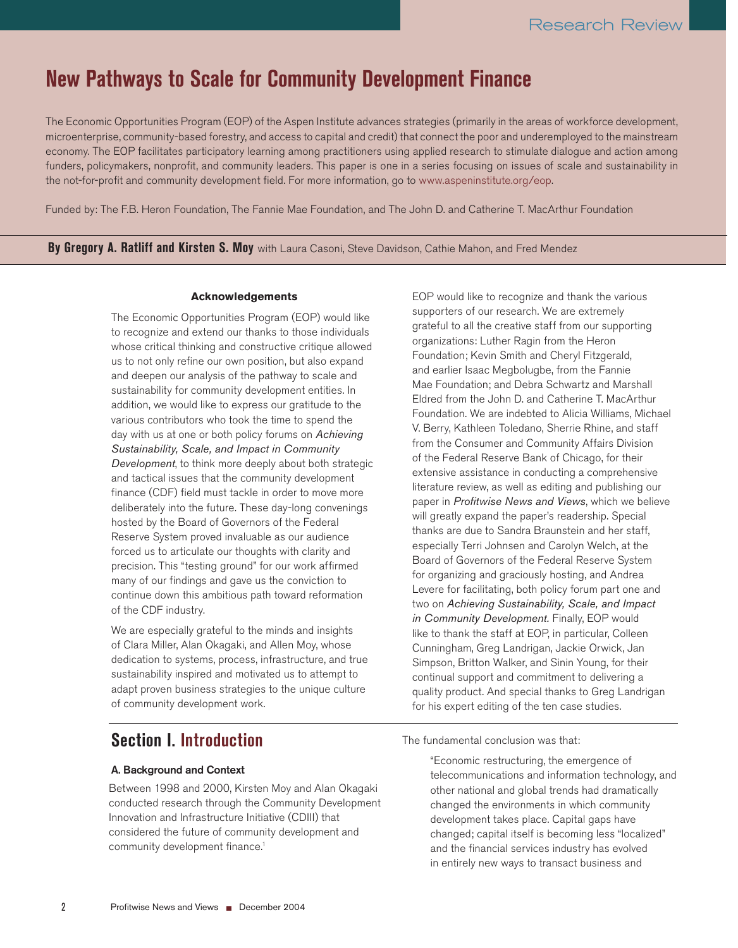# **New Pathways to Scale for Community Development Finance**

The Economic Opportunities Program (EOP) of the Aspen Institute advances strategies (primarily in the areas of workforce development, microenterprise, community-based forestry, and access to capital and credit) that connect the poor and underemployed to the mainstream economy. The EOP facilitates participatory learning among practitioners using applied research to stimulate dialogue and action among funders, policymakers, nonprofit, and community leaders. This paper is one in a series focusing on issues of scale and sustainability in the not-for-profit and community development field. For more information, go to www.aspeninstitute.org/eop.

Funded by: The F.B. Heron Foundation, The Fannie Mae Foundation, and The John D. and Catherine T. MacArthur Foundation

**By Gregory A. Ratliff and Kirsten S. Moy** with Laura Casoni, Steve Davidson, Cathie Mahon, and Fred Mendez

#### **Acknowledgements**

The Economic Opportunities Program (EOP) would like to recognize and extend our thanks to those individuals whose critical thinking and constructive critique allowed us to not only refine our own position, but also expand and deepen our analysis of the pathway to scale and sustainability for community development entities. In addition, we would like to express our gratitude to the various contributors who took the time to spend the day with us at one or both policy forums on Achieving Sustainability, Scale, and Impact in Community Development, to think more deeply about both strategic and tactical issues that the community development finance (CDF) field must tackle in order to move more deliberately into the future. These day-long convenings hosted by the Board of Governors of the Federal Reserve System proved invaluable as our audience forced us to articulate our thoughts with clarity and precision. This "testing ground" for our work affirmed many of our findings and gave us the conviction to continue down this ambitious path toward reformation of the CDF industry.

We are especially grateful to the minds and insights of Clara Miller, Alan Okagaki, and Allen Moy, whose dedication to systems, process, infrastructure, and true sustainability inspired and motivated us to attempt to adapt proven business strategies to the unique culture of community development work.

## **Section I. Introduction**

#### A. Background and Context

Between 1998 and 2000, Kirsten Moy and Alan Okagaki conducted research through the Community Development Innovation and Infrastructure Initiative (CDIII) that considered the future of community development and community development finance.<sup>1</sup>

EOP would like to recognize and thank the various supporters of our research. We are extremely grateful to all the creative staff from our supporting organizations: Luther Ragin from the Heron Foundation; Kevin Smith and Cheryl Fitzgerald, and earlier Isaac Megbolugbe, from the Fannie Mae Foundation; and Debra Schwartz and Marshall Eldred from the John D. and Catherine T. MacArthur Foundation. We are indebted to Alicia Williams, Michael V. Berry, Kathleen Toledano, Sherrie Rhine, and staff from the Consumer and Community Affairs Division of the Federal Reserve Bank of Chicago, for their extensive assistance in conducting a comprehensive literature review, as well as editing and publishing our paper in Profitwise News and Views, which we believe will greatly expand the paper's readership. Special thanks are due to Sandra Braunstein and her staff, especially Terri Johnsen and Carolyn Welch, at the Board of Governors of the Federal Reserve System for organizing and graciously hosting, and Andrea Levere for facilitating, both policy forum part one and two on Achieving Sustainability, Scale, and Impact in Community Development. Finally, EOP would like to thank the staff at EOP, in particular, Colleen Cunningham, Greg Landrigan, Jackie Orwick, Jan Simpson, Britton Walker, and Sinin Young, for their continual support and commitment to delivering a quality product. And special thanks to Greg Landrigan for his expert editing of the ten case studies.

The fundamental conclusion was that:

"Economic restructuring, the emergence of telecommunications and information technology, and other national and global trends had dramatically changed the environments in which community development takes place. Capital gaps have changed; capital itself is becoming less "localized" and the financial services industry has evolved in entirely new ways to transact business and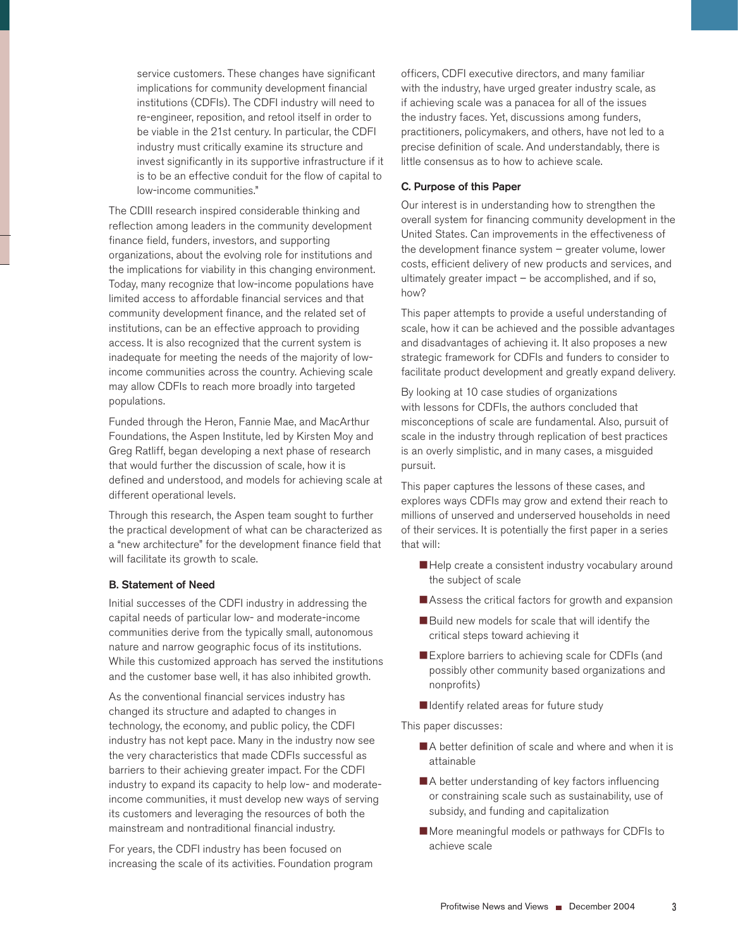service customers. These changes have significant implications for community development financial institutions (CDFIs). The CDFI industry will need to re-engineer, reposition, and retool itself in order to be viable in the 21st century. In particular, the CDFI industry must critically examine its structure and invest significantly in its supportive infrastructure if it is to be an effective conduit for the flow of capital to low-income communities."

The CDIII research inspired considerable thinking and reflection among leaders in the community development finance field, funders, investors, and supporting organizations, about the evolving role for institutions and the implications for viability in this changing environment. Today, many recognize that low-income populations have limited access to affordable financial services and that community development finance, and the related set of institutions, can be an effective approach to providing access. It is also recognized that the current system is inadequate for meeting the needs of the majority of lowincome communities across the country. Achieving scale may allow CDFIs to reach more broadly into targeted populations.

Funded through the Heron, Fannie Mae, and MacArthur Foundations, the Aspen Institute, led by Kirsten Moy and Greg Ratliff, began developing a next phase of research that would further the discussion of scale, how it is defined and understood, and models for achieving scale at different operational levels.

Through this research, the Aspen team sought to further the practical development of what can be characterized as a "new architecture" for the development finance field that will facilitate its growth to scale.

#### B. Statement of Need

Initial successes of the CDFI industry in addressing the capital needs of particular low- and moderate-income communities derive from the typically small, autonomous nature and narrow geographic focus of its institutions. While this customized approach has served the institutions and the customer base well, it has also inhibited growth.

As the conventional financial services industry has changed its structure and adapted to changes in technology, the economy, and public policy, the CDFI industry has not kept pace. Many in the industry now see the very characteristics that made CDFIs successful as barriers to their achieving greater impact. For the CDFI industry to expand its capacity to help low- and moderateincome communities, it must develop new ways of serving its customers and leveraging the resources of both the mainstream and nontraditional financial industry.

For years, the CDFI industry has been focused on increasing the scale of its activities. Foundation program officers, CDFI executive directors, and many familiar with the industry, have urged greater industry scale, as if achieving scale was a panacea for all of the issues the industry faces. Yet, discussions among funders, practitioners, policymakers, and others, have not led to a precise definition of scale. And understandably, there is little consensus as to how to achieve scale.

#### C. Purpose of this Paper

Our interest is in understanding how to strengthen the overall system for financing community development in the United States. Can improvements in the effectiveness of the development finance system – greater volume, lower costs, efficient delivery of new products and services, and ultimately greater impact – be accomplished, and if so, how?

This paper attempts to provide a useful understanding of scale, how it can be achieved and the possible advantages and disadvantages of achieving it. It also proposes a new strategic framework for CDFIs and funders to consider to facilitate product development and greatly expand delivery.

By looking at 10 case studies of organizations with lessons for CDFIs, the authors concluded that misconceptions of scale are fundamental. Also, pursuit of scale in the industry through replication of best practices is an overly simplistic, and in many cases, a misguided pursuit.

This paper captures the lessons of these cases, and explores ways CDFIs may grow and extend their reach to millions of unserved and underserved households in need of their services. It is potentially the first paper in a series that will:

- Help create a consistent industry vocabulary around the subject of scale
- Assess the critical factors for growth and expansion
- Build new models for scale that will identify the critical steps toward achieving it
- Explore barriers to achieving scale for CDFIs (and possibly other community based organizations and nonprofits)
- I Identify related areas for future study

This paper discusses:

- ■A better definition of scale and where and when it is attainable
- A better understanding of key factors influencing or constraining scale such as sustainability, use of subsidy, and funding and capitalization
- More meaningful models or pathways for CDFIs to achieve scale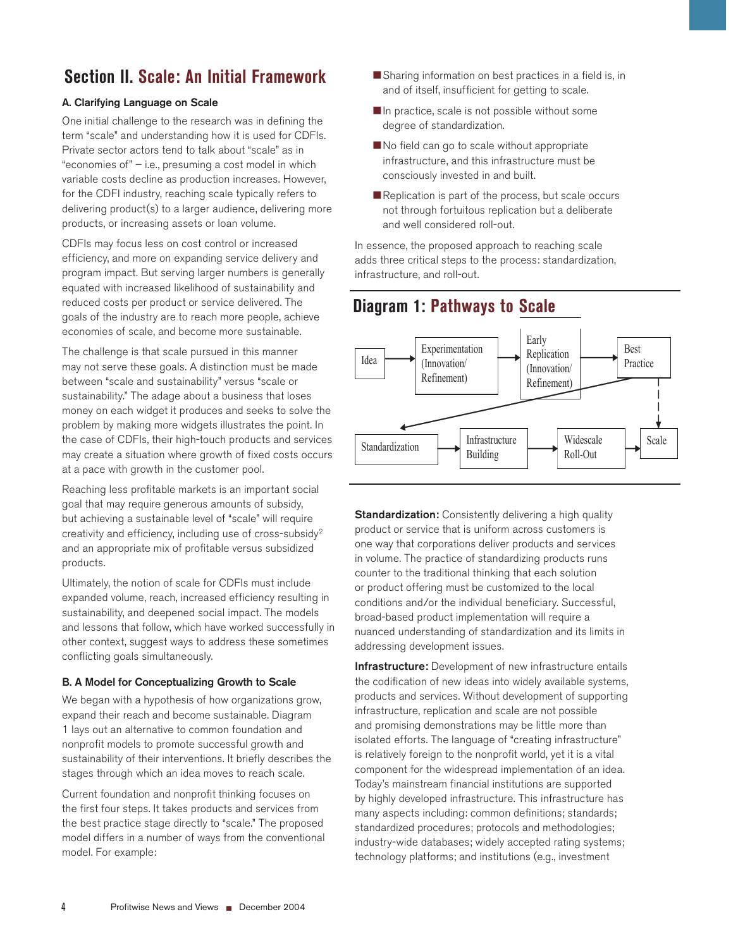## **Section II. Scale: An Initial Framework**

### A. Clarifying Language on Scale

One initial challenge to the research was in defining the term "scale" and understanding how it is used for CDFIs. Private sector actors tend to talk about "scale" as in "economies of" – i.e., presuming a cost model in which variable costs decline as production increases. However, for the CDFI industry, reaching scale typically refers to delivering product(s) to a larger audience, delivering more products, or increasing assets or loan volume.

CDFIs may focus less on cost control or increased efficiency, and more on expanding service delivery and program impact. But serving larger numbers is generally equated with increased likelihood of sustainability and reduced costs per product or service delivered. The goals of the industry are to reach more people, achieve economies of scale, and become more sustainable.

The challenge is that scale pursued in this manner may not serve these goals. A distinction must be made between "scale and sustainability" versus "scale or sustainability." The adage about a business that loses money on each widget it produces and seeks to solve the problem by making more widgets illustrates the point. In the case of CDFIs, their high-touch products and services may create a situation where growth of fixed costs occurs at a pace with growth in the customer pool.

Reaching less profitable markets is an important social goal that may require generous amounts of subsidy, but achieving a sustainable level of "scale" will require creativity and efficiency, including use of cross-subsidy<sup>2</sup> and an appropriate mix of profitable versus subsidized products.

Ultimately, the notion of scale for CDFIs must include expanded volume, reach, increased efficiency resulting in sustainability, and deepened social impact. The models and lessons that follow, which have worked successfully in other context, suggest ways to address these sometimes conflicting goals simultaneously.

#### B. A Model for Conceptualizing Growth to Scale

We began with a hypothesis of how organizations grow, expand their reach and become sustainable. Diagram 1 lays out an alternative to common foundation and nonprofit models to promote successful growth and sustainability of their interventions. It briefly describes the stages through which an idea moves to reach scale.

Current foundation and nonprofit thinking focuses on the first four steps. It takes products and services from the best practice stage directly to "scale." The proposed model differs in a number of ways from the conventional model. For example:

- Sharing information on best practices in a field is, in and of itself, insufficient for getting to scale.
- In practice, scale is not possible without some degree of standardization.
- No field can go to scale without appropriate infrastructure, and this infrastructure must be consciously invested in and built.
- Replication is part of the process, but scale occurs not through fortuitous replication but a deliberate and well considered roll-out.

In essence, the proposed approach to reaching scale adds three critical steps to the process: standardization, infrastructure, and roll-out.

## **Diagram 1: Pathways to Scale**



**Standardization:** Consistently delivering a high quality product or service that is uniform across customers is one way that corporations deliver products and services in volume. The practice of standardizing products runs counter to the traditional thinking that each solution or product offering must be customized to the local conditions and/or the individual beneficiary. Successful, broad-based product implementation will require a nuanced understanding of standardization and its limits in addressing development issues.

Infrastructure: Development of new infrastructure entails the codification of new ideas into widely available systems, products and services. Without development of supporting infrastructure, replication and scale are not possible and promising demonstrations may be little more than isolated efforts. The language of "creating infrastructure" is relatively foreign to the nonprofit world, yet it is a vital component for the widespread implementation of an idea. Today's mainstream financial institutions are supported by highly developed infrastructure. This infrastructure has many aspects including: common definitions; standards; standardized procedures; protocols and methodologies; industry-wide databases; widely accepted rating systems; technology platforms; and institutions (e.g., investment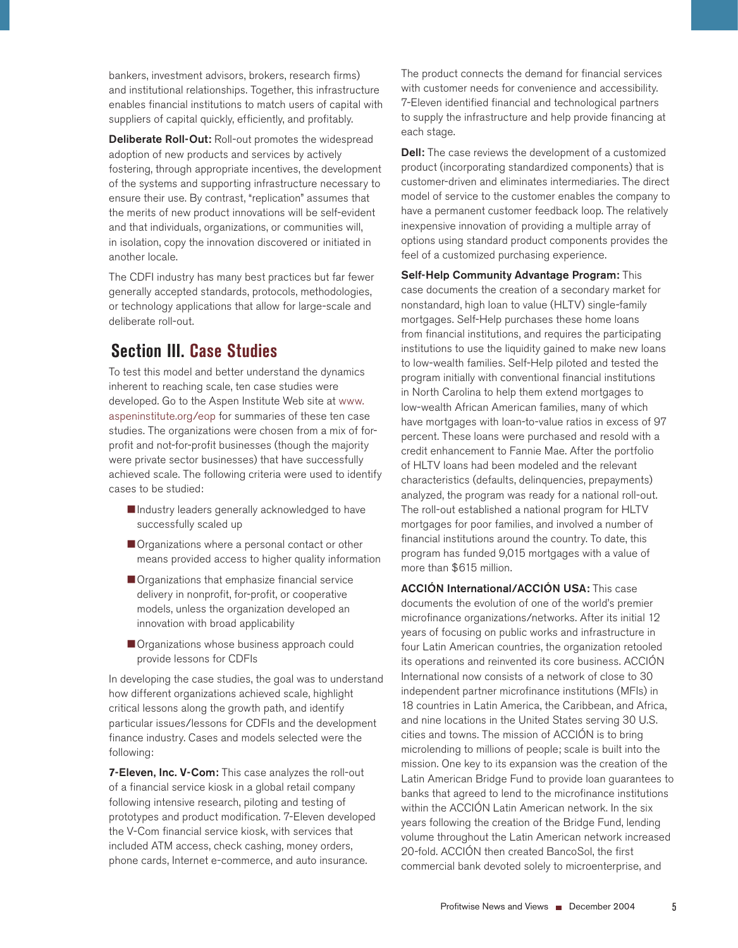bankers, investment advisors, brokers, research firms) and institutional relationships. Together, this infrastructure enables financial institutions to match users of capital with suppliers of capital quickly, efficiently, and profitably.

Deliberate Roll-Out: Roll-out promotes the widespread adoption of new products and services by actively fostering, through appropriate incentives, the development of the systems and supporting infrastructure necessary to ensure their use. By contrast, "replication" assumes that the merits of new product innovations will be self-evident and that individuals, organizations, or communities will, in isolation, copy the innovation discovered or initiated in another locale.

The CDFI industry has many best practices but far fewer generally accepted standards, protocols, methodologies, or technology applications that allow for large-scale and deliberate roll-out.

# **Section III. Case Studies**

To test this model and better understand the dynamics inherent to reaching scale, ten case studies were developed. Go to the Aspen Institute Web site at www. aspeninstitute.org/eop for summaries of these ten case studies. The organizations were chosen from a mix of forprofit and not-for-profit businesses (though the majority were private sector businesses) that have successfully achieved scale. The following criteria were used to identify cases to be studied:

- Industry leaders generally acknowledged to have successfully scaled up
- Organizations where a personal contact or other means provided access to higher quality information
- Organizations that emphasize financial service delivery in nonprofit, for-profit, or cooperative models, unless the organization developed an innovation with broad applicability
- Organizations whose business approach could provide lessons for CDFIs

In developing the case studies, the goal was to understand how different organizations achieved scale, highlight critical lessons along the growth path, and identify particular issues/lessons for CDFIs and the development finance industry. Cases and models selected were the following:

7-Eleven, Inc. V-Com: This case analyzes the roll-out of a financial service kiosk in a global retail company following intensive research, piloting and testing of prototypes and product modification. 7-Eleven developed the V-Com financial service kiosk, with services that included ATM access, check cashing, money orders, phone cards, Internet e-commerce, and auto insurance.

The product connects the demand for financial services with customer needs for convenience and accessibility. 7-Eleven identified financial and technological partners to supply the infrastructure and help provide financing at each stage.

**Dell:** The case reviews the development of a customized product (incorporating standardized components) that is customer-driven and eliminates intermediaries. The direct model of service to the customer enables the company to have a permanent customer feedback loop. The relatively inexpensive innovation of providing a multiple array of options using standard product components provides the feel of a customized purchasing experience.

Self-Help Community Advantage Program: This case documents the creation of a secondary market for nonstandard, high loan to value (HLTV) single-family mortgages. Self-Help purchases these home loans from financial institutions, and requires the participating institutions to use the liquidity gained to make new loans to low-wealth families. Self-Help piloted and tested the program initially with conventional financial institutions in North Carolina to help them extend mortgages to low-wealth African American families, many of which have mortgages with loan-to-value ratios in excess of 97 percent. These loans were purchased and resold with a credit enhancement to Fannie Mae. After the portfolio of HLTV loans had been modeled and the relevant characteristics (defaults, delinquencies, prepayments) analyzed, the program was ready for a national roll-out. The roll-out established a national program for HLTV mortgages for poor families, and involved a number of financial institutions around the country. To date, this program has funded 9,015 mortgages with a value of more than \$615 million.

ACCIÓN International/ACCIÓN USA: This case documents the evolution of one of the world's premier microfinance organizations/networks. After its initial 12 years of focusing on public works and infrastructure in four Latin American countries, the organization retooled its operations and reinvented its core business. ACCIÓN International now consists of a network of close to 30 independent partner microfinance institutions (MFIs) in 18 countries in Latin America, the Caribbean, and Africa, and nine locations in the United States serving 30 U.S. cities and towns. The mission of ACCIÓN is to bring microlending to millions of people; scale is built into the mission. One key to its expansion was the creation of the Latin American Bridge Fund to provide loan guarantees to banks that agreed to lend to the microfinance institutions within the ACCIÓN Latin American network. In the six years following the creation of the Bridge Fund, lending volume throughout the Latin American network increased 20-fold. ACCIÓN then created BancoSol, the first commercial bank devoted solely to microenterprise, and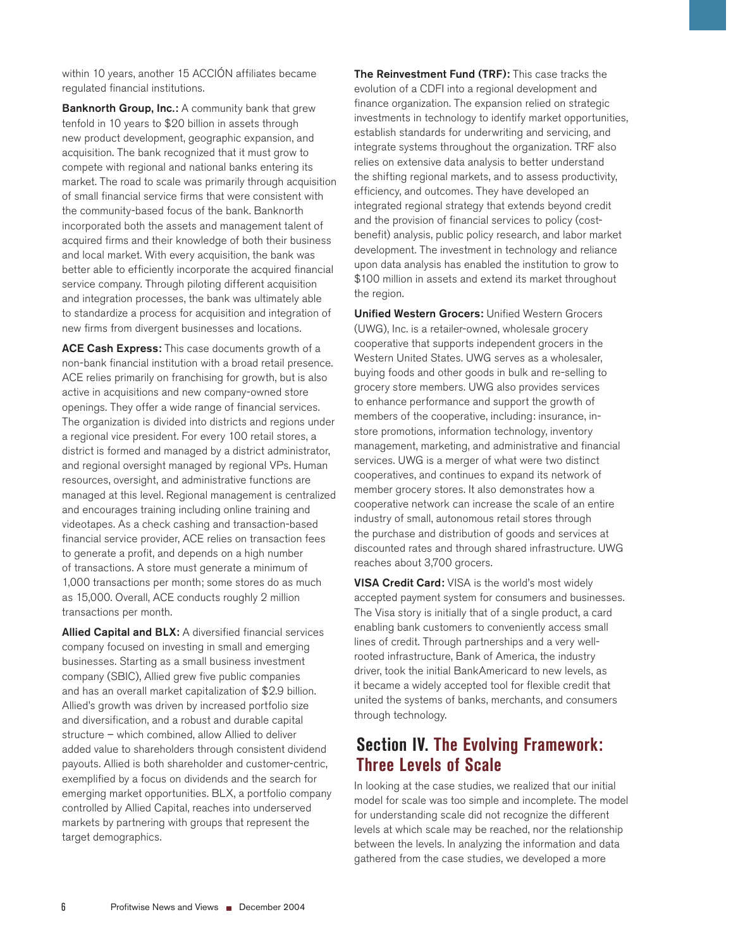within 10 years, another 15 ACCIÓN affiliates became regulated financial institutions.

Banknorth Group, Inc.: A community bank that grew tenfold in 10 years to \$20 billion in assets through new product development, geographic expansion, and acquisition. The bank recognized that it must grow to compete with regional and national banks entering its market. The road to scale was primarily through acquisition of small financial service firms that were consistent with the community-based focus of the bank. Banknorth incorporated both the assets and management talent of acquired firms and their knowledge of both their business and local market. With every acquisition, the bank was better able to efficiently incorporate the acquired financial service company. Through piloting different acquisition and integration processes, the bank was ultimately able to standardize a process for acquisition and integration of new firms from divergent businesses and locations.

ACE Cash Express: This case documents growth of a non-bank financial institution with a broad retail presence. ACE relies primarily on franchising for growth, but is also active in acquisitions and new company-owned store openings. They offer a wide range of financial services. The organization is divided into districts and regions under a regional vice president. For every 100 retail stores, a district is formed and managed by a district administrator, and regional oversight managed by regional VPs. Human resources, oversight, and administrative functions are managed at this level. Regional management is centralized and encourages training including online training and videotapes. As a check cashing and transaction-based financial service provider, ACE relies on transaction fees to generate a profit, and depends on a high number of transactions. A store must generate a minimum of 1,000 transactions per month; some stores do as much as 15,000. Overall, ACE conducts roughly 2 million transactions per month.

Allied Capital and BLX: A diversified financial services company focused on investing in small and emerging businesses. Starting as a small business investment company (SBIC), Allied grew five public companies and has an overall market capitalization of \$2.9 billion. Allied's growth was driven by increased portfolio size and diversification, and a robust and durable capital structure – which combined, allow Allied to deliver added value to shareholders through consistent dividend payouts. Allied is both shareholder and customer-centric, exemplified by a focus on dividends and the search for emerging market opportunities. BLX, a portfolio company controlled by Allied Capital, reaches into underserved markets by partnering with groups that represent the target demographics.

The Reinvestment Fund (TRF): This case tracks the evolution of a CDFI into a regional development and finance organization. The expansion relied on strategic investments in technology to identify market opportunities, establish standards for underwriting and servicing, and integrate systems throughout the organization. TRF also relies on extensive data analysis to better understand the shifting regional markets, and to assess productivity, efficiency, and outcomes. They have developed an integrated regional strategy that extends beyond credit and the provision of financial services to policy (costbenefit) analysis, public policy research, and labor market development. The investment in technology and reliance upon data analysis has enabled the institution to grow to \$100 million in assets and extend its market throughout the region.

Unified Western Grocers: Unified Western Grocers (UWG), Inc. is a retailer-owned, wholesale grocery cooperative that supports independent grocers in the Western United States. UWG serves as a wholesaler, buying foods and other goods in bulk and re-selling to grocery store members. UWG also provides services to enhance performance and support the growth of members of the cooperative, including: insurance, instore promotions, information technology, inventory management, marketing, and administrative and financial services. UWG is a merger of what were two distinct cooperatives, and continues to expand its network of member grocery stores. It also demonstrates how a cooperative network can increase the scale of an entire industry of small, autonomous retail stores through the purchase and distribution of goods and services at discounted rates and through shared infrastructure. UWG reaches about 3,700 grocers.

**VISA Credit Card:** VISA is the world's most widely accepted payment system for consumers and businesses. The Visa story is initially that of a single product, a card enabling bank customers to conveniently access small lines of credit. Through partnerships and a very wellrooted infrastructure, Bank of America, the industry driver, took the initial BankAmericard to new levels, as it became a widely accepted tool for flexible credit that united the systems of banks, merchants, and consumers through technology.

## **Section IV. The Evolving Framework: Three Levels of Scale**

In looking at the case studies, we realized that our initial model for scale was too simple and incomplete. The model for understanding scale did not recognize the different levels at which scale may be reached, nor the relationship between the levels. In analyzing the information and data gathered from the case studies, we developed a more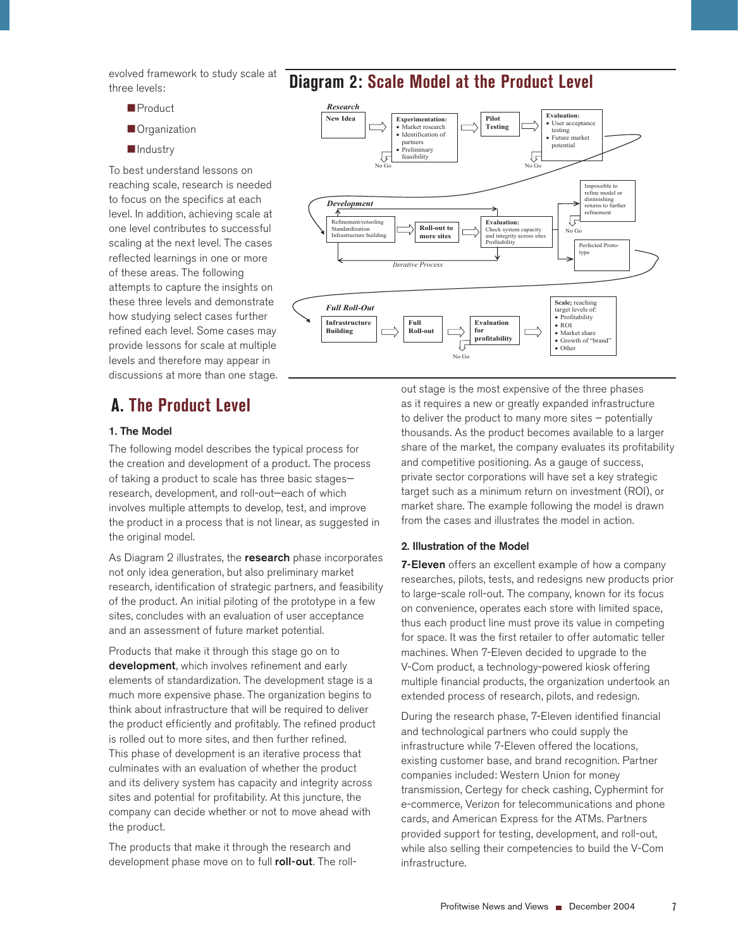evolved framework to study scale at three levels:

- **Product**
- **Organization**
- **Industry**

To best understand lessons on reaching scale, research is needed to focus on the specifics at each level. In addition, achieving scale at one level contributes to successful scaling at the next level. The cases reflected learnings in one or more of these areas. The following attempts to capture the insights on these three levels and demonstrate how studying select cases further refined each level. Some cases may provide lessons for scale at multiple levels and therefore may appear in discussions at more than one stage.

## **A. The Product Level**

#### 1. The Model

The following model describes the typical process for the creation and development of a product. The process of taking a product to scale has three basic stages research, development, and roll-out—each of which involves multiple attempts to develop, test, and improve the product in a process that is not linear, as suggested in the original model.

As Diagram 2 illustrates, the research phase incorporates not only idea generation, but also preliminary market research, identification of strategic partners, and feasibility of the product. An initial piloting of the prototype in a few sites, concludes with an evaluation of user acceptance and an assessment of future market potential.

Products that make it through this stage go on to development, which involves refinement and early elements of standardization. The development stage is a much more expensive phase. The organization begins to think about infrastructure that will be required to deliver the product efficiently and profitably. The refined product is rolled out to more sites, and then further refined. This phase of development is an iterative process that culminates with an evaluation of whether the product and its delivery system has capacity and integrity across sites and potential for profitability. At this juncture, the company can decide whether or not to move ahead with the product.

The products that make it through the research and development phase move on to full roll-out. The roll-

## **Diagram 2: Scale Model at the Product Level**



out stage is the most expensive of the three phases as it requires a new or greatly expanded infrastructure to deliver the product to many more sites – potentially thousands. As the product becomes available to a larger share of the market, the company evaluates its profitability and competitive positioning. As a gauge of success, private sector corporations will have set a key strategic target such as a minimum return on investment (ROI), or market share. The example following the model is drawn from the cases and illustrates the model in action.

#### 2. Illustration of the Model

**7-Eleven** offers an excellent example of how a company researches, pilots, tests, and redesigns new products prior to large-scale roll-out. The company, known for its focus on convenience, operates each store with limited space, thus each product line must prove its value in competing for space. It was the first retailer to offer automatic teller machines. When 7-Eleven decided to upgrade to the V-Com product, a technology-powered kiosk offering multiple financial products, the organization undertook an extended process of research, pilots, and redesign.

During the research phase, 7-Eleven identified financial and technological partners who could supply the infrastructure while 7-Eleven offered the locations, existing customer base, and brand recognition. Partner companies included: Western Union for money transmission, Certegy for check cashing, Cyphermint for e-commerce, Verizon for telecommunications and phone cards, and American Express for the ATMs. Partners provided support for testing, development, and roll-out, while also selling their competencies to build the V-Com infrastructure.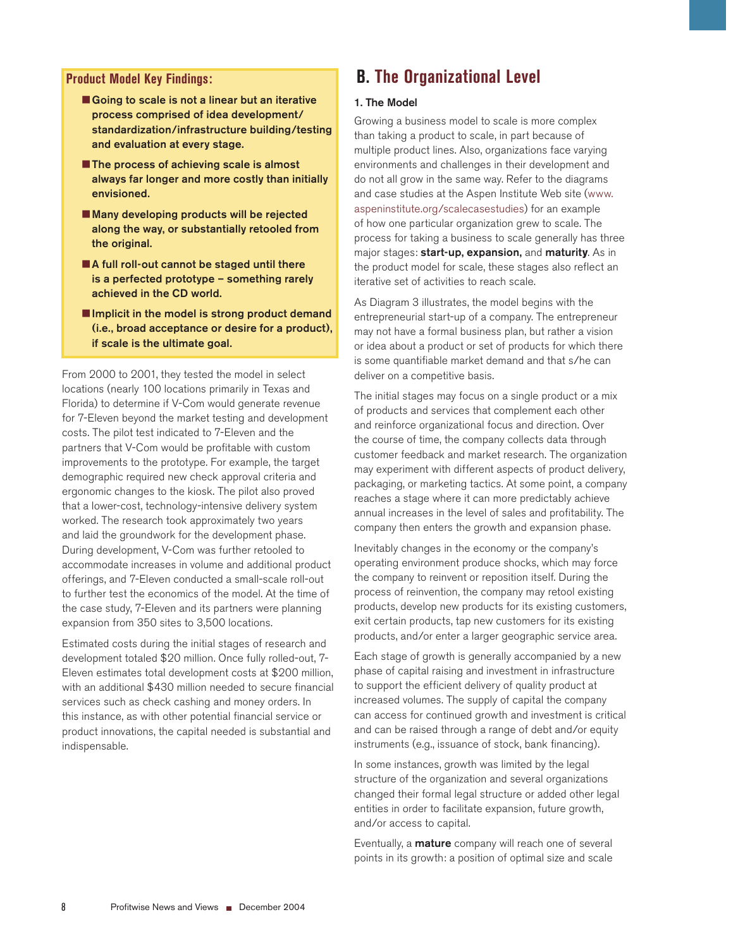#### **Product Model Key Findings:**

- Going to scale is not a linear but an iterative process comprised of idea development/ standardization/infrastructure building/testing and evaluation at every stage.
- **The process of achieving scale is almost** always far longer and more costly than initially envisioned.
- Many developing products will be rejected along the way, or substantially retooled from the original.
- ■A full roll-out cannot be staged until there is a perfected prototype – something rarely achieved in the CD world.
- $\blacksquare$  Implicit in the model is strong product demand (i.e., broad acceptance or desire for a product), if scale is the ultimate goal.

From 2000 to 2001, they tested the model in select locations (nearly 100 locations primarily in Texas and Florida) to determine if V-Com would generate revenue for 7-Eleven beyond the market testing and development costs. The pilot test indicated to 7-Eleven and the partners that V-Com would be profitable with custom improvements to the prototype. For example, the target demographic required new check approval criteria and ergonomic changes to the kiosk. The pilot also proved that a lower-cost, technology-intensive delivery system worked. The research took approximately two years and laid the groundwork for the development phase. During development, V-Com was further retooled to accommodate increases in volume and additional product offerings, and 7-Eleven conducted a small-scale roll-out to further test the economics of the model. At the time of the case study, 7-Eleven and its partners were planning expansion from 350 sites to 3,500 locations.

Estimated costs during the initial stages of research and development totaled \$20 million. Once fully rolled-out, 7- Eleven estimates total development costs at \$200 million, with an additional \$430 million needed to secure financial services such as check cashing and money orders. In this instance, as with other potential financial service or product innovations, the capital needed is substantial and indispensable.

## **B. The Organizational Level**

#### 1. The Model

Growing a business model to scale is more complex than taking a product to scale, in part because of multiple product lines. Also, organizations face varying environments and challenges in their development and do not all grow in the same way. Refer to the diagrams and case studies at the Aspen Institute Web site (www. aspeninstitute.org/scalecasestudies) for an example of how one particular organization grew to scale. The process for taking a business to scale generally has three major stages: start-up, expansion, and maturit**y**. As in the product model for scale, these stages also reflect an iterative set of activities to reach scale.

As Diagram 3 illustrates, the model begins with the entrepreneurial start-up of a company. The entrepreneur may not have a formal business plan, but rather a vision or idea about a product or set of products for which there is some quantifiable market demand and that s/he can deliver on a competitive basis.

The initial stages may focus on a single product or a mix of products and services that complement each other and reinforce organizational focus and direction. Over the course of time, the company collects data through customer feedback and market research. The organization may experiment with different aspects of product delivery, packaging, or marketing tactics. At some point, a company reaches a stage where it can more predictably achieve annual increases in the level of sales and profitability. The company then enters the growth and expansion phase.

Inevitably changes in the economy or the company's operating environment produce shocks, which may force the company to reinvent or reposition itself. During the process of reinvention, the company may retool existing products, develop new products for its existing customers, exit certain products, tap new customers for its existing products, and/or enter a larger geographic service area.

Each stage of growth is generally accompanied by a new phase of capital raising and investment in infrastructure to support the efficient delivery of quality product at increased volumes. The supply of capital the company can access for continued growth and investment is critical and can be raised through a range of debt and/or equity instruments (e.g., issuance of stock, bank financing).

In some instances, growth was limited by the legal structure of the organization and several organizations changed their formal legal structure or added other legal entities in order to facilitate expansion, future growth, and/or access to capital.

Eventually, a **mature** company will reach one of several points in its growth: a position of optimal size and scale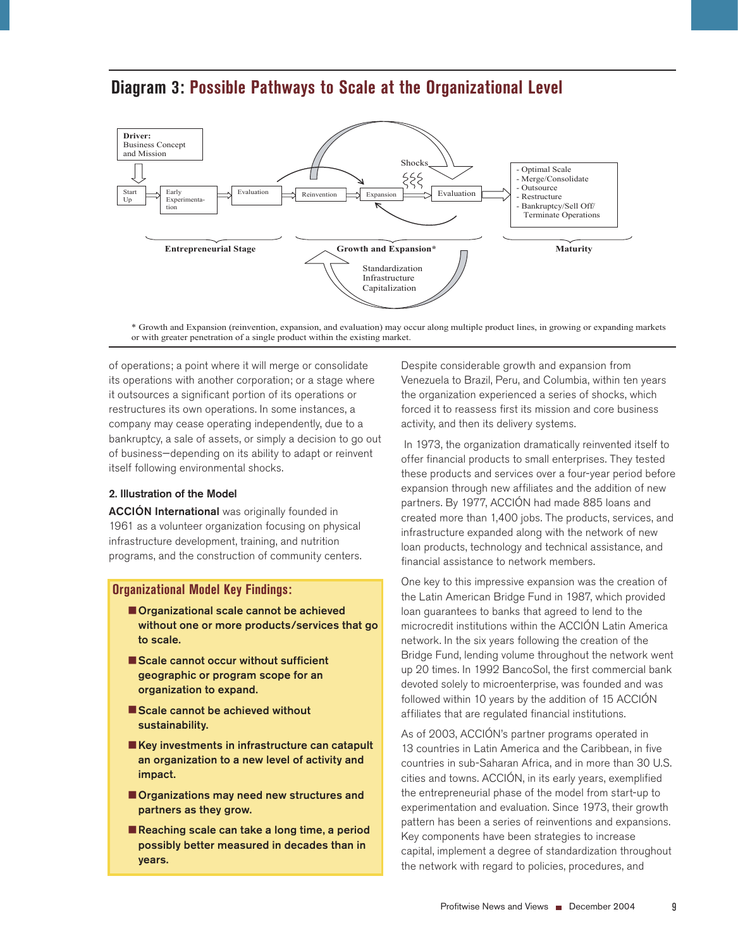

## **Diagram 3: Possible Pathways to Scale at the Organizational Level**

\* Growth and Expansion (reinvention, expansion, and evaluation) may occur along multiple product lines, in growing or expanding markets or with greater penetration of a single product within the existing market.

of operations; a point where it will merge or consolidate its operations with another corporation; or a stage where it outsources a significant portion of its operations or restructures its own operations. In some instances, a company may cease operating independently, due to a bankruptcy, a sale of assets, or simply a decision to go out of business—depending on its ability to adapt or reinvent itself following environmental shocks.

### 2. Illustration of the Model

ACCIÓN International was originally founded in 1961 as a volunteer organization focusing on physical infrastructure development, training, and nutrition programs, and the construction of community centers.

### **Organizational Model Key Findings:**

- **Organizational scale cannot be achieved** without one or more products/services that go to scale.
- Scale cannot occur without sufficient geographic or program scope for an organization to expand.
- Scale cannot be achieved without sustainability.
- Key investments in infrastructure can catapult an organization to a new level of activity and impact.
- **Organizations may need new structures and** partners as they grow.
- Reaching scale can take a long time, a period possibly better measured in decades than in years.

Despite considerable growth and expansion from Venezuela to Brazil, Peru, and Columbia, within ten years the organization experienced a series of shocks, which forced it to reassess first its mission and core business activity, and then its delivery systems.

 In 1973, the organization dramatically reinvented itself to offer financial products to small enterprises. They tested these products and services over a four-year period before expansion through new affiliates and the addition of new partners. By 1977, ACCIÓN had made 885 loans and created more than 1,400 jobs. The products, services, and infrastructure expanded along with the network of new loan products, technology and technical assistance, and financial assistance to network members.

One key to this impressive expansion was the creation of the Latin American Bridge Fund in 1987, which provided loan guarantees to banks that agreed to lend to the microcredit institutions within the ACCIÓN Latin America network. In the six years following the creation of the Bridge Fund, lending volume throughout the network went up 20 times. In 1992 BancoSol, the first commercial bank devoted solely to microenterprise, was founded and was followed within 10 years by the addition of 15 ACCIÓN affiliates that are regulated financial institutions.

As of 2003, ACCIÓN's partner programs operated in 13 countries in Latin America and the Caribbean, in five countries in sub-Saharan Africa, and in more than 30 U.S. cities and towns. ACCIÓN, in its early years, exemplified the entrepreneurial phase of the model from start-up to experimentation and evaluation. Since 1973, their growth pattern has been a series of reinventions and expansions. Key components have been strategies to increase capital, implement a degree of standardization throughout the network with regard to policies, procedures, and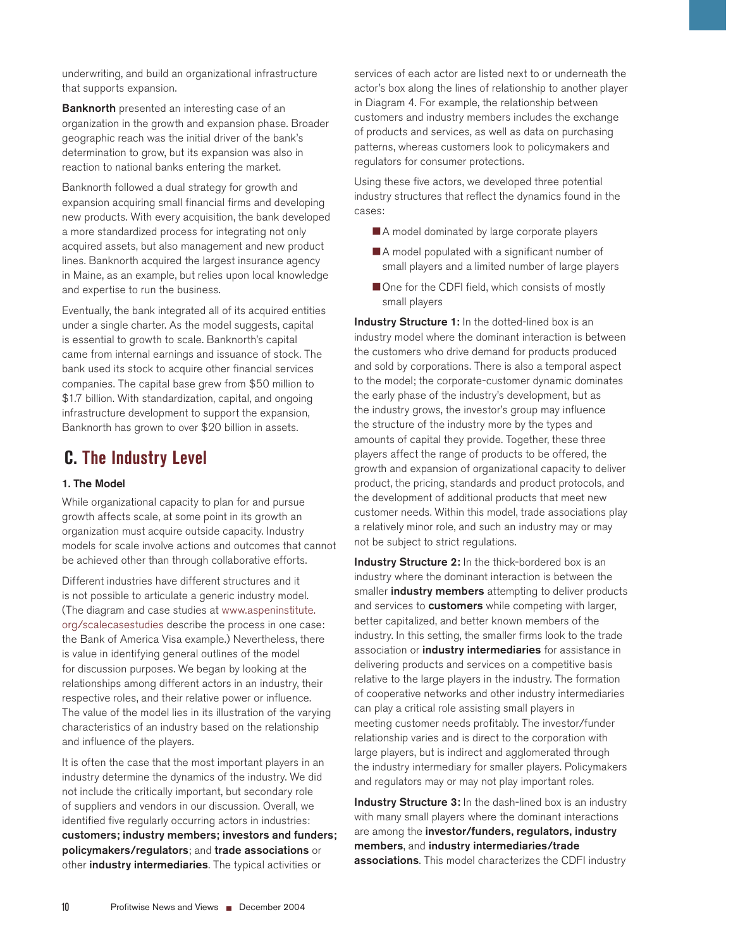underwriting, and build an organizational infrastructure that supports expansion.

**Banknorth** presented an interesting case of an organization in the growth and expansion phase. Broader geographic reach was the initial driver of the bank's determination to grow, but its expansion was also in reaction to national banks entering the market.

Banknorth followed a dual strategy for growth and expansion acquiring small financial firms and developing new products. With every acquisition, the bank developed a more standardized process for integrating not only acquired assets, but also management and new product lines. Banknorth acquired the largest insurance agency in Maine, as an example, but relies upon local knowledge and expertise to run the business.

Eventually, the bank integrated all of its acquired entities under a single charter. As the model suggests, capital is essential to growth to scale. Banknorth's capital came from internal earnings and issuance of stock. The bank used its stock to acquire other financial services companies. The capital base grew from \$50 million to \$1.7 billion. With standardization, capital, and ongoing infrastructure development to support the expansion, Banknorth has grown to over \$20 billion in assets.

# **C. The Industry Level**

### 1. The Model

While organizational capacity to plan for and pursue growth affects scale, at some point in its growth an organization must acquire outside capacity. Industry models for scale involve actions and outcomes that cannot be achieved other than through collaborative efforts.

Different industries have different structures and it is not possible to articulate a generic industry model. (The diagram and case studies at www.aspeninstitute. org/scalecasestudies describe the process in one case: the Bank of America Visa example.) Nevertheless, there is value in identifying general outlines of the model for discussion purposes. We began by looking at the relationships among different actors in an industry, their respective roles, and their relative power or influence. The value of the model lies in its illustration of the varying characteristics of an industry based on the relationship and influence of the players.

It is often the case that the most important players in an industry determine the dynamics of the industry. We did not include the critically important, but secondary role of suppliers and vendors in our discussion. Overall, we identified five regularly occurring actors in industries: customers; industry members; investors and funders; policymakers/regulators; and trade associations or other industry intermediaries. The typical activities or

services of each actor are listed next to or underneath the actor's box along the lines of relationship to another player in Diagram 4. For example, the relationship between customers and industry members includes the exchange of products and services, as well as data on purchasing patterns, whereas customers look to policymakers and regulators for consumer protections.

Using these five actors, we developed three potential industry structures that reflect the dynamics found in the cases:

- A model dominated by large corporate players
- A model populated with a significant number of small players and a limited number of large players
- One for the CDFI field, which consists of mostly small players

Industry Structure 1: In the dotted-lined box is an industry model where the dominant interaction is between the customers who drive demand for products produced and sold by corporations. There is also a temporal aspect to the model; the corporate-customer dynamic dominates the early phase of the industry's development, but as the industry grows, the investor's group may influence the structure of the industry more by the types and amounts of capital they provide. Together, these three players affect the range of products to be offered, the growth and expansion of organizational capacity to deliver product, the pricing, standards and product protocols, and the development of additional products that meet new customer needs. Within this model, trade associations play a relatively minor role, and such an industry may or may not be subject to strict regulations.

Industry Structure 2: In the thick-bordered box is an industry where the dominant interaction is between the smaller industry members attempting to deliver products and services to **customers** while competing with larger, better capitalized, and better known members of the industry. In this setting, the smaller firms look to the trade association or *industry intermediaries* for assistance in delivering products and services on a competitive basis relative to the large players in the industry. The formation of cooperative networks and other industry intermediaries can play a critical role assisting small players in meeting customer needs profitably. The investor/funder relationship varies and is direct to the corporation with large players, but is indirect and agglomerated through the industry intermediary for smaller players. Policymakers and regulators may or may not play important roles.

**Industry Structure 3:** In the dash-lined box is an industry with many small players where the dominant interactions are among the investor/funders, regulators, industry members, and industry intermediaries/trade associations. This model characterizes the CDFI industry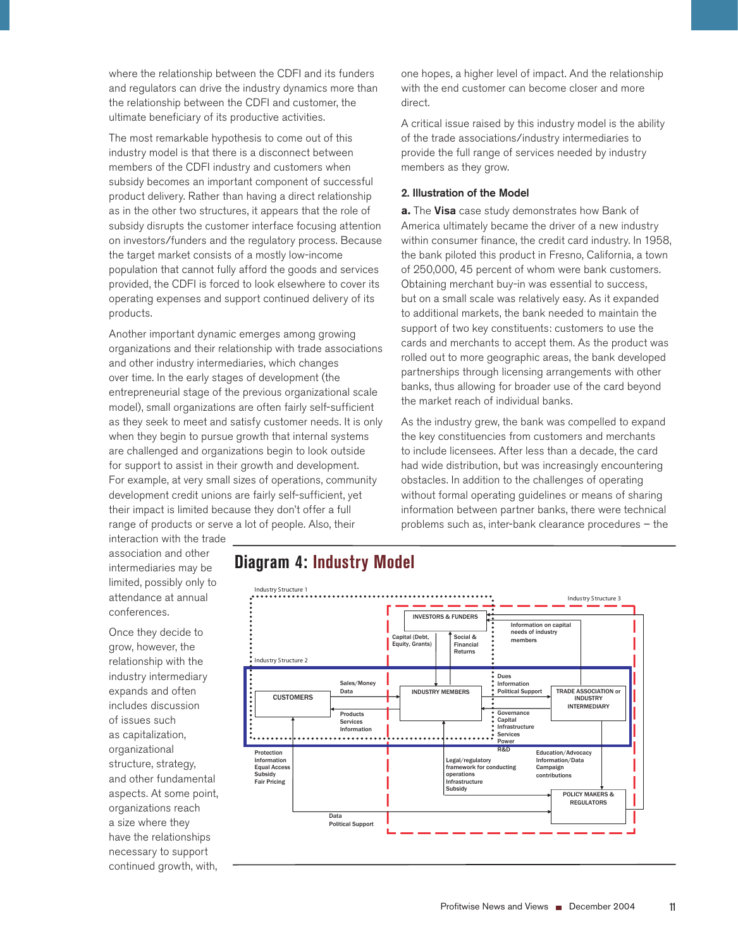where the relationship between the CDFI and its funders and regulators can drive the industry dynamics more than the relationship between the CDFI and customer, the ultimate beneficiary of its productive activities.

The most remarkable hypothesis to come out of this industry model is that there is a disconnect between members of the CDFI industry and customers when subsidy becomes an important component of successful product delivery. Rather than having a direct relationship as in the other two structures, it appears that the role of subsidy disrupts the customer interface focusing attention on investors/funders and the regulatory process. Because the target market consists of a mostly low-income population that cannot fully afford the goods and services provided, the CDFI is forced to look elsewhere to cover its operating expenses and support continued delivery of its products.

Another important dynamic emerges among growing organizations and their relationship with trade associations and other industry intermediaries, which changes over time. In the early stages of development (the entrepreneurial stage of the previous organizational scale model), small organizations are often fairly self-sufficient as they seek to meet and satisfy customer needs. It is only when they begin to pursue growth that internal systems are challenged and organizations begin to look outside for support to assist in their growth and development. For example, at very small sizes of operations, community development credit unions are fairly self-sufficient, yet their impact is limited because they don't offer a full range of products or serve a lot of people. Also, their

one hopes, a higher level of impact. And the relationship with the end customer can become closer and more direct.

A critical issue raised by this industry model is the ability of the trade associations/industry intermediaries to provide the full range of services needed by industry members as they grow.

#### 2. Illustration of the Model

**a.** The Visa case study demonstrates how Bank of America ultimately became the driver of a new industry within consumer finance, the credit card industry. In 1958, the bank piloted this product in Fresno, California, a town of 250,000, 45 percent of whom were bank customers. Obtaining merchant buy-in was essential to success, but on a small scale was relatively easy. As it expanded to additional markets, the bank needed to maintain the support of two key constituents: customers to use the cards and merchants to accept them. As the product was rolled out to more geographic areas, the bank developed partnerships through licensing arrangements with other banks, thus allowing for broader use of the card beyond the market reach of individual banks.

As the industry grew, the bank was compelled to expand the key constituencies from customers and merchants to include licensees. After less than a decade, the card had wide distribution, but was increasingly encountering obstacles. In addition to the challenges of operating without formal operating guidelines or means of sharing information between partner banks, there were technical problems such as, inter-bank clearance procedures – the

interaction with the trade association and other intermediaries may be limited, possibly only to attendance at annual conferences.

Once they decide to grow, however, the relationship with the industry intermediary expands and often includes discussion of issues such as capitalization, organizational structure, strategy, and other fundamental aspects. At some point, organizations reach a size where they have the relationships necessary to support continued growth, with,

## **Diagram 4: Industry Model**

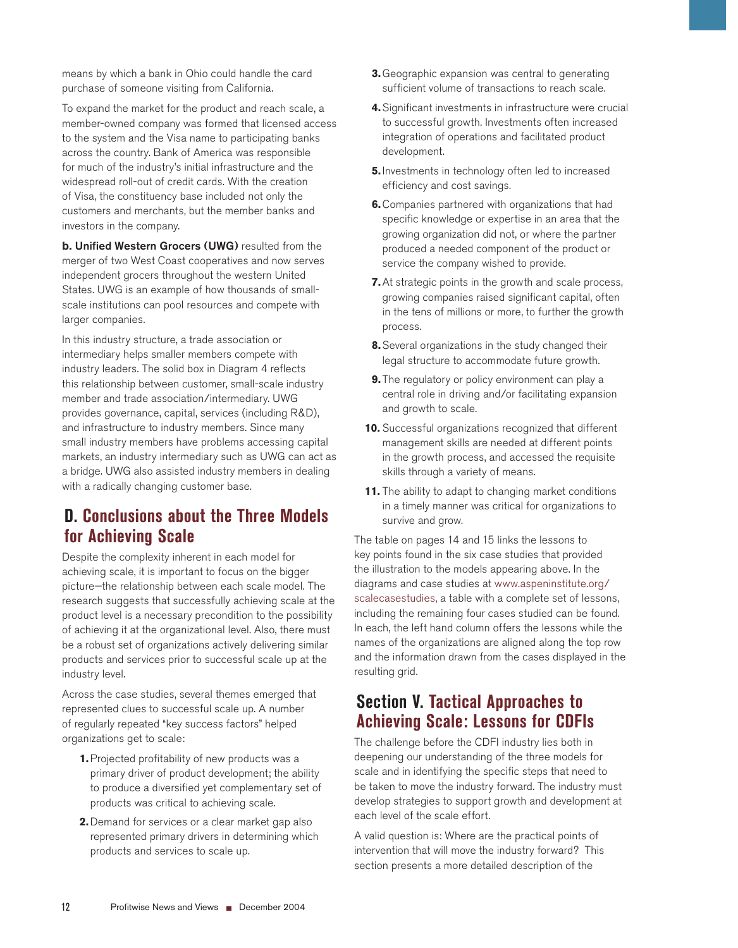means by which a bank in Ohio could handle the card purchase of someone visiting from California.

To expand the market for the product and reach scale, a member-owned company was formed that licensed access to the system and the Visa name to participating banks across the country. Bank of America was responsible for much of the industry's initial infrastructure and the widespread roll-out of credit cards. With the creation of Visa, the constituency base included not only the customers and merchants, but the member banks and investors in the company.

**b.** Unified Western Grocers (UWG) resulted from the merger of two West Coast cooperatives and now serves independent grocers throughout the western United States. UWG is an example of how thousands of smallscale institutions can pool resources and compete with larger companies.

In this industry structure, a trade association or intermediary helps smaller members compete with industry leaders. The solid box in Diagram 4 reflects this relationship between customer, small-scale industry member and trade association/intermediary. UWG provides governance, capital, services (including R&D), and infrastructure to industry members. Since many small industry members have problems accessing capital markets, an industry intermediary such as UWG can act as a bridge. UWG also assisted industry members in dealing with a radically changing customer base.

## **D. Conclusions about the Three Models for Achieving Scale**

Despite the complexity inherent in each model for achieving scale, it is important to focus on the bigger picture—the relationship between each scale model. The research suggests that successfully achieving scale at the product level is a necessary precondition to the possibility of achieving it at the organizational level. Also, there must be a robust set of organizations actively delivering similar products and services prior to successful scale up at the industry level.

Across the case studies, several themes emerged that represented clues to successful scale up. A number of regularly repeated "key success factors" helped organizations get to scale:

- **1.** Projected profitability of new products was a primary driver of product development; the ability to produce a diversified yet complementary set of products was critical to achieving scale.
- **2.** Demand for services or a clear market gap also represented primary drivers in determining which products and services to scale up.
- **3.** Geographic expansion was central to generating sufficient volume of transactions to reach scale.
- **4.** Significant investments in infrastructure were crucial to successful growth. Investments often increased integration of operations and facilitated product development.
- **5.** Investments in technology often led to increased efficiency and cost savings.
- **6.** Companies partnered with organizations that had specific knowledge or expertise in an area that the growing organization did not, or where the partner produced a needed component of the product or service the company wished to provide.
- At strategic points in the growth and scale process, **7.** growing companies raised significant capital, often in the tens of millions or more, to further the growth process.
- Several organizations in the study changed their **8.** legal structure to accommodate future growth.
- **9.** The regulatory or policy environment can play a central role in driving and/or facilitating expansion and growth to scale.
- **10.** Successful organizations recognized that different management skills are needed at different points in the growth process, and accessed the requisite skills through a variety of means.
- **11.** The ability to adapt to changing market conditions in a timely manner was critical for organizations to survive and grow.

The table on pages 14 and 15 links the lessons to key points found in the six case studies that provided the illustration to the models appearing above. In the diagrams and case studies at www.aspeninstitute.org/ scalecasestudies, a table with a complete set of lessons, including the remaining four cases studied can be found. In each, the left hand column offers the lessons while the names of the organizations are aligned along the top row and the information drawn from the cases displayed in the resulting grid.

## **Section V. Tactical Approaches to Achieving Scale: Lessons for CDFIs**

The challenge before the CDFI industry lies both in deepening our understanding of the three models for scale and in identifying the specific steps that need to be taken to move the industry forward. The industry must develop strategies to support growth and development at each level of the scale effort.

A valid question is: Where are the practical points of intervention that will move the industry forward? This section presents a more detailed description of the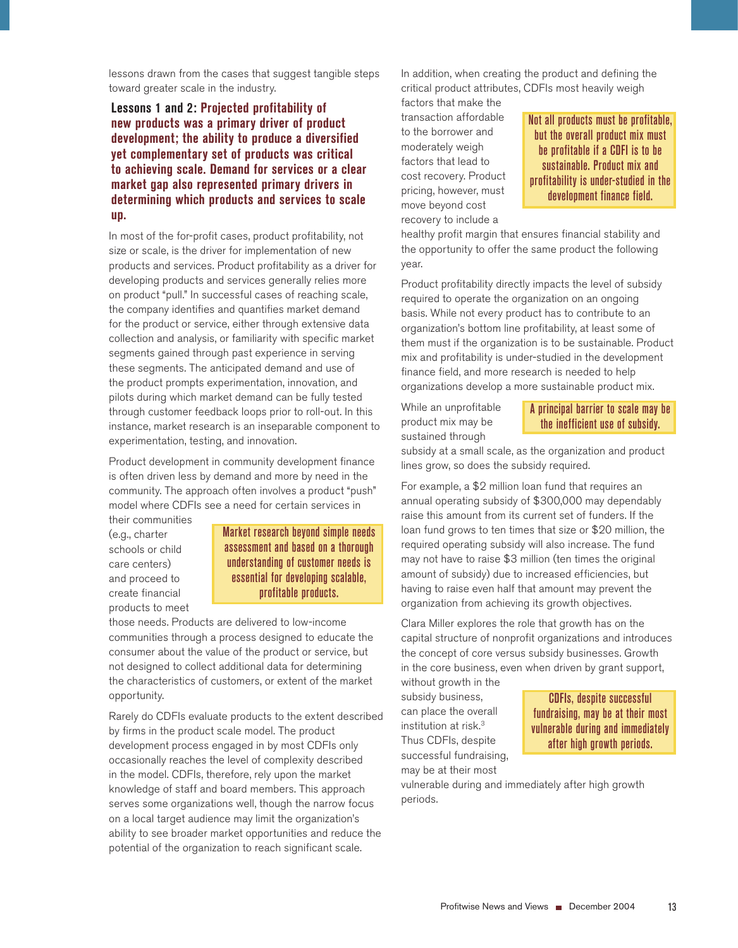lessons drawn from the cases that suggest tangible steps toward greater scale in the industry.

## **Lessons 1 and 2: Projected profitability of new products was a primary driver of product development; the ability to produce a diversified yet complementary set of products was critical to achieving scale. Demand for services or a clear market gap also represented primary drivers in determining which products and services to scale up.**

In most of the for-profit cases, product profitability, not size or scale, is the driver for implementation of new products and services. Product profitability as a driver for developing products and services generally relies more on product "pull." In successful cases of reaching scale, the company identifies and quantifies market demand for the product or service, either through extensive data collection and analysis, or familiarity with specific market segments gained through past experience in serving these segments. The anticipated demand and use of the product prompts experimentation, innovation, and pilots during which market demand can be fully tested through customer feedback loops prior to roll-out. In this instance, market research is an inseparable component to experimentation, testing, and innovation.

Product development in community development finance is often driven less by demand and more by need in the community. The approach often involves a product "push" model where CDFIs see a need for certain services in

their communities (e.g., charter schools or child care centers) and proceed to create financial products to meet

Market research beyond simple needs assessment and based on a thorough understanding of customer needs is essential for developing scalable, profitable products.

those needs. Products are delivered to low-income communities through a process designed to educate the consumer about the value of the product or service, but not designed to collect additional data for determining the characteristics of customers, or extent of the market opportunity.

Rarely do CDFIs evaluate products to the extent described by firms in the product scale model. The product development process engaged in by most CDFIs only occasionally reaches the level of complexity described in the model. CDFIs, therefore, rely upon the market knowledge of staff and board members. This approach serves some organizations well, though the narrow focus on a local target audience may limit the organization's ability to see broader market opportunities and reduce the potential of the organization to reach significant scale.

In addition, when creating the product and defining the critical product attributes, CDFIs most heavily weigh

factors that make the transaction affordable to the borrower and moderately weigh factors that lead to cost recovery. Product pricing, however, must move beyond cost recovery to include a

Not all products must be profitable, but the overall product mix must be profitable if a CDFI is to be sustainable. Product mix and profitability is under-studied in the development finance field.

healthy profit margin that ensures financial stability and the opportunity to offer the same product the following year.

Product profitability directly impacts the level of subsidy required to operate the organization on an ongoing basis. While not every product has to contribute to an organization's bottom line profitability, at least some of them must if the organization is to be sustainable. Product mix and profitability is under-studied in the development finance field, and more research is needed to help organizations develop a more sustainable product mix.

While an unprofitable product mix may be sustained through

### A principal barrier to scale may be the inefficient use of subsidy.

subsidy at a small scale, as the organization and product lines grow, so does the subsidy required.

For example, a \$2 million loan fund that requires an annual operating subsidy of \$300,000 may dependably raise this amount from its current set of funders. If the loan fund grows to ten times that size or \$20 million, the required operating subsidy will also increase. The fund may not have to raise \$3 million (ten times the original amount of subsidy) due to increased efficiencies, but having to raise even half that amount may prevent the organization from achieving its growth objectives.

Clara Miller explores the role that growth has on the capital structure of nonprofit organizations and introduces the concept of core versus subsidy businesses. Growth in the core business, even when driven by grant support,

without growth in the subsidy business, can place the overall institution at risk.<sup>3</sup> Thus CDFIs, despite successful fundraising, may be at their most

CDFIs, despite successful fundraising, may be at their most vulnerable during and immediately after high growth periods.

vulnerable during and immediately after high growth periods.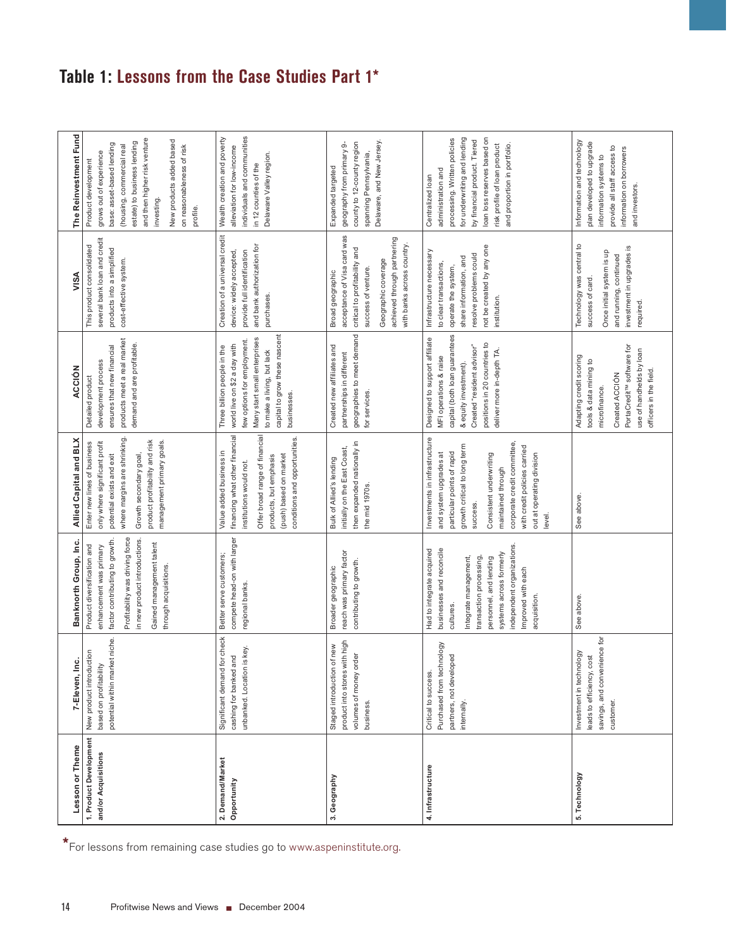# **Table 1: Lessons from the Case Studies Part 1\***

| The Reinvestment Fund  | and then higher risk venture<br>New products added based<br>estate) to business lending<br>base: asset-based lending<br>(housing, commercial real<br>on reasonableness of risk<br>grows out of experience<br>Product development<br>investing.<br>profile. | individuals and communities<br>Wealth creation and poverty<br>alleviation for low-income<br>Delaware Valley region.<br>in 12 counties of the                                                                | Delaware, and New Jersey.<br>county to 12-county region<br>geography from primary 9-<br>spanning Pennsylvania,<br>Expanded targeted                                                         | for underwriting and lending<br>loan loss reserves based on<br>processing. Written policies<br>by financial product. Tiered<br>risk profile of loan product<br>and proportion in portfolio.<br>administration and<br>Centralized loan                                                    | Information and technology<br>plan developed to upgrade<br>provide all staff access to<br>information on borrowers<br>information systems to<br>and investors.                      |
|------------------------|------------------------------------------------------------------------------------------------------------------------------------------------------------------------------------------------------------------------------------------------------------|-------------------------------------------------------------------------------------------------------------------------------------------------------------------------------------------------------------|---------------------------------------------------------------------------------------------------------------------------------------------------------------------------------------------|------------------------------------------------------------------------------------------------------------------------------------------------------------------------------------------------------------------------------------------------------------------------------------------|-------------------------------------------------------------------------------------------------------------------------------------------------------------------------------------|
| VISA                   | several bank loan and credit<br>This product consolidated<br>products into a simplified<br>cost-effective system.                                                                                                                                          | Creation of a universal credit<br>and bank authorization for<br>provide full identification<br>device: widely accepted,<br>purchases.                                                                       | acceptance of Visa card was<br>achieved through partnering<br>with banks across country.<br>critical to profitability and<br>Geographic coverage<br>success of venture.<br>Broad geographic | not be created by any one<br>Infrastructure necessary<br>resolve problems could<br>share information, and<br>to clear transactions,<br>operate the system,<br>institution.                                                                                                               | Technology was central to<br>investment in upgrades is<br>Once initial system is up<br>and running, continued<br>success of card.<br>required.                                      |
| ACCIÓN                 | products meet a real market<br>demand and are profitable.<br>ensures that new financial<br>development process<br>Detailed product                                                                                                                         | capital to grow these nascent<br>Many start small enterprises<br>few options for employment.<br>world live on \$2 a day with<br>Three billion people in the<br>to make a living, but lack<br>businesses.    | geographies to meet demand<br>Created new affiliates and<br>partnerships in different<br>for services.                                                                                      | capital (both loan guarantees<br>Designed to support affiliate<br>positions in 20 countries to<br>Created "resident advisor"<br>deliver more in-depth TA<br>MFI operations & raise<br>& equity investment).                                                                              | PortaCredit <sup>™</sup> software for<br>use of handhelds by loan<br>Adapting credit scoring<br>tools & data mining to<br>officers in the field.<br>Created ACCIÓN<br>microfinance. |
| Allied Capital and BLX | where margins are shrinking.<br>management primary goals.<br>product profitability and risk<br>only where significant profit<br>Enter new lines of business<br>Growth secondary goal,<br>potential exists and exit                                         | financing what other financial<br>Offer broad range of financial<br>conditions and opportunities.<br>Value added business in<br>(push) based on market<br>products, but emphasis<br>institutions would not. | then expanded nationally in<br>initially on the East Coast,<br>Bulk of Allied's lending<br>the mid 1970s.                                                                                   | Investments in infrastructure<br>corporate credit committee,<br>growth critical to long term<br>with credit policies carried<br>particular points of rapid<br>and system upgrades at<br>out at operating division<br>Consistent underwriting<br>maintained through<br>success.<br>level. | See above.                                                                                                                                                                          |
| Banknorth Group, Inc.  | Profitability was driving force<br>factor contributing to growth.<br>in new product introductions.<br>Gained management talent<br>Product diversification and<br>enhancement was primary<br>through acquisitions.                                          | compete head-on with larger<br>Better serve customers;<br>regional banks.                                                                                                                                   | reach was primary factor<br>contributing to growth.<br>Broader geographic                                                                                                                   | independent organizations<br>businesses and reconcile<br>Had to integrate acquired<br>systems across formerly<br>transaction processing,<br>Integrate management,<br>personnel, and lending<br>Improved with each<br>acquisition<br>cultures                                             | See above.                                                                                                                                                                          |
| 7-Eleven, Inc.         | potential within market niche.<br>New product introduction<br>based on profitability                                                                                                                                                                       | check<br>unbanked. Location is key.<br>cashing for banked and<br>Significant demand for                                                                                                                     | product into stores with high<br>Staged introduction of new<br>volumes of money order<br><b>business</b>                                                                                    | Purchased from technology<br>partners, not developed<br>Critical to success<br>internally                                                                                                                                                                                                | savings, and convenience for<br>Investment in technology<br>leads to efficiency, cost<br>customer.                                                                                  |
| Lesson or Theme        | 1. Product Development<br>and/or Acquisitions                                                                                                                                                                                                              | 2. Demand/Market<br>Opportunity                                                                                                                                                                             | 3. Geography                                                                                                                                                                                | 4. Infrastructure                                                                                                                                                                                                                                                                        | 5. Technology                                                                                                                                                                       |
| 14                     | *For lessons from remaining case studies go to www.aspeninstitute.org.<br>Profitwise News and Views ■ December 2004                                                                                                                                        |                                                                                                                                                                                                             |                                                                                                                                                                                             |                                                                                                                                                                                                                                                                                          |                                                                                                                                                                                     |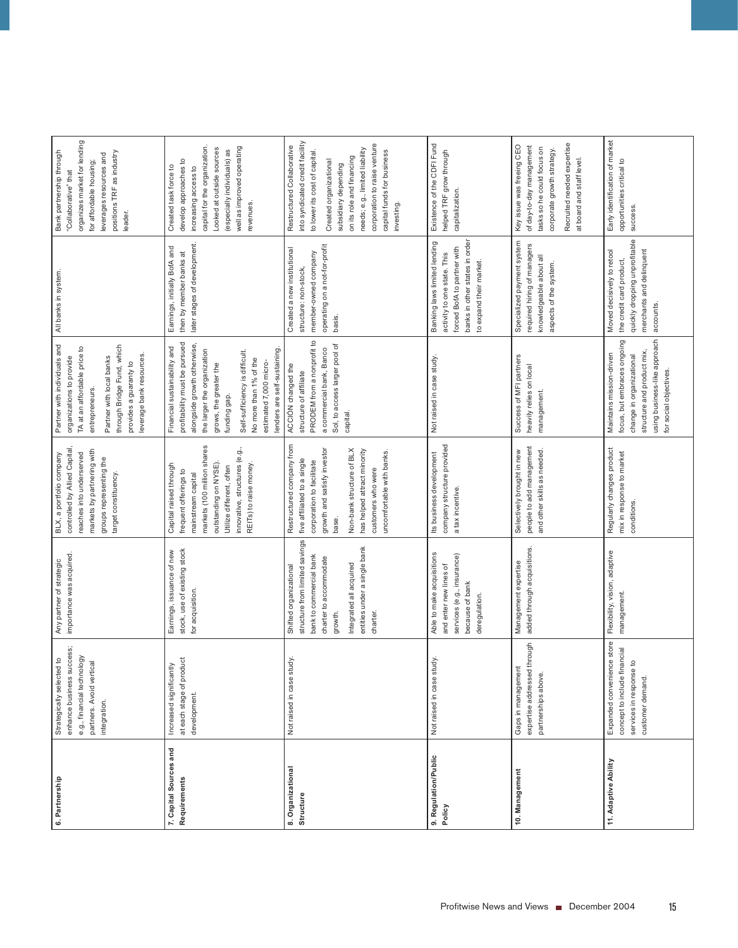| 6. Partnership                         | enhance business success;<br>e.g., financial technology<br>Strategically selected to<br>partners. Avoid vertical<br>integration. | importance was acquired.<br>Any partner of strategic                                                                                                                                           | controlled by Allied Capital<br>markets by partnering with<br>reaches into underserved<br>BLX, a portfolio company<br>groups representing the<br>target constituency.                                                                        | Partner with individuals and<br>through Bridge Fund, which<br>TA at an affordable price to<br>leverage bank resources<br>organizations to provide<br>Partner with local banks<br>provides a guaranty to<br>entrepreneurs.                                                                  | All banks in system                                                                                                                                     | organizes market for lending<br>Bank partnership through<br>positions TRF as industry<br>leverages resources and<br>for affordable housing;<br>"Collaborative" that<br>leader.                                                                                                              |
|----------------------------------------|----------------------------------------------------------------------------------------------------------------------------------|------------------------------------------------------------------------------------------------------------------------------------------------------------------------------------------------|----------------------------------------------------------------------------------------------------------------------------------------------------------------------------------------------------------------------------------------------|--------------------------------------------------------------------------------------------------------------------------------------------------------------------------------------------------------------------------------------------------------------------------------------------|---------------------------------------------------------------------------------------------------------------------------------------------------------|---------------------------------------------------------------------------------------------------------------------------------------------------------------------------------------------------------------------------------------------------------------------------------------------|
| 7. Capital Sources and<br>Requirements | at each stage of produc<br>Increased significantly<br>development.                                                               | stock, use of existing stock<br>Earnings, issuance of new<br>for acquisition.                                                                                                                  | markets (100 million shares<br>innovative, structures (e.g.<br>outstanding on NYSE).<br>REITs) to raise money.<br>Capital raised through<br>Utilize different, often<br>frequent offerings to<br>mainstream capital                          | profitability must be pursued<br>alongside growth otherwise,<br>Financial sustainability and<br>lenders are self-sustaining<br>the larger the organization<br>Self-sufficiency is difficult.<br>No more than 1% of the<br>estimated 7,000 micro-<br>grows, the greater the<br>funding gap. | later stages of development.<br>Earnings, initially BofA and<br>then by member banks at                                                                 | capital for the organization<br>well as improved operating<br>Looked at outside sources<br>(especially individuals) as<br>develop approaches to<br>Created task force to<br>increasing access to<br>revenues.                                                                               |
| 8. Organizational<br>Structure         | Not raised in case study                                                                                                         | structure from limited savings<br>entities under a single bank<br>bank to commercial bank<br>charter to accommodate<br>Integrated all acquired<br>Shifted organizational<br>charter<br>growth. | Restructured company from<br>Non-bank structure of BLX<br>growth and satisfy investor<br>has helped attract minority<br>uncomfortable with banks.<br>five affiliated to a single<br>corporation to facilitate<br>customers who were<br>base. | PRODEM from a nonprofit to<br>Sol, to access larger pool of<br>a commercial bank, Banco<br>ACCIÓN changed the<br>structure of affiliate<br>capital.                                                                                                                                        | operating on a not-for-profit<br>Created a new institutional<br>member-owned company<br>structure: non-stock,<br>basis.                                 | into syndicated credit facility<br>corporation to raise venture<br>Restructured Collaborative<br>needs; e.g., limited liability<br>to lower its cost of capital.<br>capital funds for business<br>on its role and financing<br>Created organizational<br>subsidiary depending<br>investing. |
| 9. Regulation/Public<br>Policy         | Not raised in case study                                                                                                         | Able to make acquisitions<br>services (e.g., insurance)<br>and enter new lines of<br>because of bank<br>deregulation.                                                                          | company structure provided<br>Its business development<br>a tax incentive.                                                                                                                                                                   | Not raised in case study                                                                                                                                                                                                                                                                   | banks in other states in order<br>Banking laws limited lending<br>forced BofA to partner with<br>activity to one state. This<br>to expand their market. | Existence of the CDFI Fund<br>helped TRF grow through<br>capitalization.                                                                                                                                                                                                                    |
| 10. Management                         | expertise addressed through<br>Gaps in management<br>partnerships above.                                                         | added through acquisitions.<br>Management expertise                                                                                                                                            | people to add management<br>Selectively brought in new<br>and other skills as needed.                                                                                                                                                        | Success of MFI partners<br>heavily relies on local<br>management.                                                                                                                                                                                                                          | Specialized payment system<br>required hiring of managers<br>knowledgeable about all<br>aspects of the system.                                          | Recruited needed expertise<br>Key issue was freeing CEO<br>of day-to-day management<br>tasks so he could focus on<br>corporate growth strategy.<br>at board and staff level.                                                                                                                |
| 11. Adaptive Ability                   | store<br>concept to include financial<br>Expanded convenience<br>services in response to<br>customer demand.                     | Flexibility, vision, adaptive<br>management.                                                                                                                                                   | Regularly changes product<br>mix in response to market<br>conditions.                                                                                                                                                                        | using business-like approach<br>focus, but embraces ongoing<br>structure and product mix<br>Maintains mission-driven<br>change in organizational<br>for social objectives.                                                                                                                 | quickly dropping unprofitable<br>merchants and delinquent<br>Moved decisively to retool<br>the credit card product,<br>accounts.                        | Early identification of market<br>opportunities critical to<br>success.                                                                                                                                                                                                                     |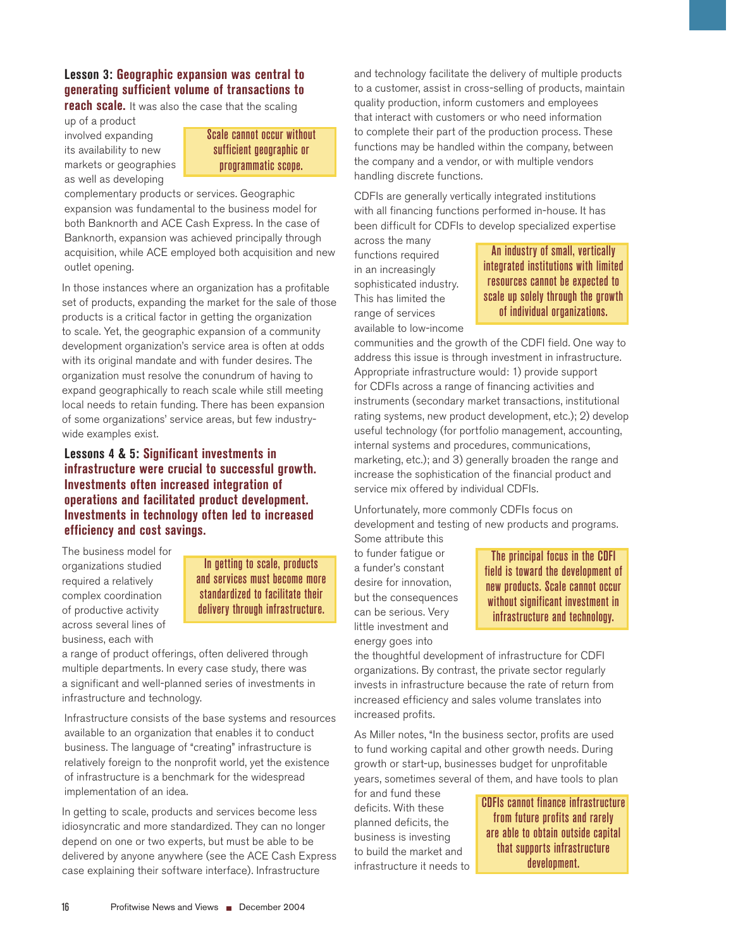## **Lesson 3: Geographic expansion was central to generating sufficient volume of transactions to**

**reach scale.** It was also the case that the scaling

up of a product involved expanding its availability to new markets or geographies as well as developing

### Scale cannot occur without sufficient geographic or programmatic scope.

complementary products or services. Geographic expansion was fundamental to the business model for both Banknorth and ACE Cash Express. In the case of Banknorth, expansion was achieved principally through acquisition, while ACE employed both acquisition and new outlet opening.

In those instances where an organization has a profitable set of products, expanding the market for the sale of those products is a critical factor in getting the organization to scale. Yet, the geographic expansion of a community development organization's service area is often at odds with its original mandate and with funder desires. The organization must resolve the conundrum of having to expand geographically to reach scale while still meeting local needs to retain funding. There has been expansion of some organizations' service areas, but few industrywide examples exist.

## **Lessons 4 & 5: Significant investments in infrastructure were crucial to successful growth. Investments often increased integration of operations and facilitated product development. Investments in technology often led to increased efficiency and cost savings.**

The business model for organizations studied required a relatively complex coordination of productive activity across several lines of business, each with

In getting to scale, products and services must become more standardized to facilitate their delivery through infrastructure.

a range of product offerings, often delivered through multiple departments. In every case study, there was a significant and well-planned series of investments in infrastructure and technology.

Infrastructure consists of the base systems and resources available to an organization that enables it to conduct business. The language of "creating" infrastructure is relatively foreign to the nonprofit world, yet the existence of infrastructure is a benchmark for the widespread implementation of an idea.

In getting to scale, products and services become less idiosyncratic and more standardized. They can no longer depend on one or two experts, but must be able to be delivered by anyone anywhere (see the ACE Cash Express case explaining their software interface). Infrastructure

and technology facilitate the delivery of multiple products to a customer, assist in cross-selling of products, maintain quality production, inform customers and employees that interact with customers or who need information to complete their part of the production process. These functions may be handled within the company, between the company and a vendor, or with multiple vendors handling discrete functions.

CDFIs are generally vertically integrated institutions with all financing functions performed in-house. It has been difficult for CDFIs to develop specialized expertise

across the many functions required in an increasingly sophisticated industry. This has limited the range of services available to low-income

An industry of small, vertically integrated institutions with limited resources cannot be expected to scale up solely through the growth of individual organizations.

communities and the growth of the CDFI field. One way to address this issue is through investment in infrastructure. Appropriate infrastructure would: 1) provide support for CDFIs across a range of financing activities and instruments (secondary market transactions, institutional rating systems, new product development, etc.); 2) develop useful technology (for portfolio management, accounting, internal systems and procedures, communications, marketing, etc.); and 3) generally broaden the range and increase the sophistication of the financial product and service mix offered by individual CDFIs.

Unfortunately, more commonly CDFIs focus on development and testing of new products and programs.

Some attribute this to funder fatigue or a funder's constant desire for innovation, but the consequences can be serious. Very little investment and energy goes into

The principal focus in the CDFI field is toward the development of new products. Scale cannot occur without significant investment in infrastructure and technology.

the thoughtful development of infrastructure for CDFI organizations. By contrast, the private sector regularly invests in infrastructure because the rate of return from increased efficiency and sales volume translates into increased profits.

As Miller notes, "In the business sector, profits are used to fund working capital and other growth needs. During growth or start-up, businesses budget for unprofitable years, sometimes several of them, and have tools to plan

for and fund these deficits. With these planned deficits, the business is investing to build the market and infrastructure it needs to

CDFIs cannot finance infrastructure from future profits and rarely are able to obtain outside capital that supports infrastructure development.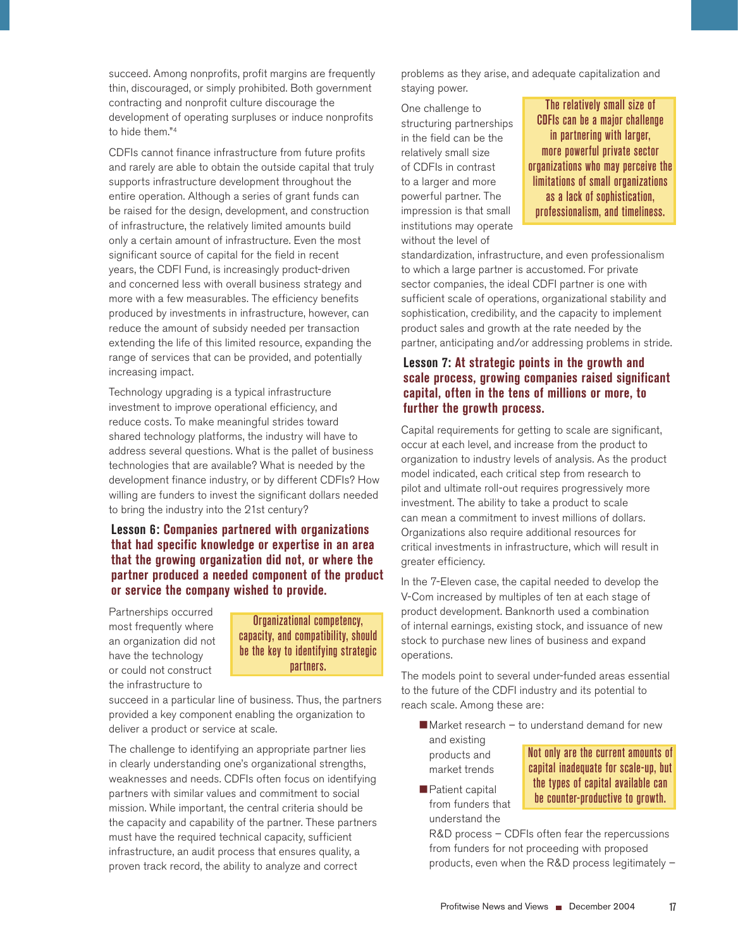succeed. Among nonprofits, profit margins are frequently thin, discouraged, or simply prohibited. Both government contracting and nonprofit culture discourage the development of operating surpluses or induce nonprofits to hide them."4

CDFIs cannot finance infrastructure from future profits and rarely are able to obtain the outside capital that truly supports infrastructure development throughout the entire operation. Although a series of grant funds can be raised for the design, development, and construction of infrastructure, the relatively limited amounts build only a certain amount of infrastructure. Even the most significant source of capital for the field in recent years, the CDFI Fund, is increasingly product-driven and concerned less with overall business strategy and more with a few measurables. The efficiency benefits produced by investments in infrastructure, however, can reduce the amount of subsidy needed per transaction extending the life of this limited resource, expanding the range of services that can be provided, and potentially increasing impact.

Technology upgrading is a typical infrastructure investment to improve operational efficiency, and reduce costs. To make meaningful strides toward shared technology platforms, the industry will have to address several questions. What is the pallet of business technologies that are available? What is needed by the development finance industry, or by different CDFIs? How willing are funders to invest the significant dollars needed to bring the industry into the 21st century?

**Lesson 6: Companies partnered with organizations that had specific knowledge or expertise in an area that the growing organization did not, or where the partner produced a needed component of the product or service the company wished to provide.**

Partnerships occurred most frequently where an organization did not have the technology or could not construct the infrastructure to

Organizational competency, capacity, and compatibility, should be the key to identifying strategic partners.

succeed in a particular line of business. Thus, the partners provided a key component enabling the organization to deliver a product or service at scale.

The challenge to identifying an appropriate partner lies in clearly understanding one's organizational strengths, weaknesses and needs. CDFIs often focus on identifying partners with similar values and commitment to social mission. While important, the central criteria should be the capacity and capability of the partner. These partners must have the required technical capacity, sufficient infrastructure, an audit process that ensures quality, a proven track record, the ability to analyze and correct

problems as they arise, and adequate capitalization and staying power.

One challenge to structuring partnerships in the field can be the relatively small size of CDFIs in contrast to a larger and more powerful partner. The impression is that small institutions may operate without the level of

The relatively small size of CDFIs can be a major challenge in partnering with larger, more powerful private sector organizations who may perceive the limitations of small organizations as a lack of sophistication, professionalism, and timeliness.

standardization, infrastructure, and even professionalism to which a large partner is accustomed. For private sector companies, the ideal CDFI partner is one with sufficient scale of operations, organizational stability and sophistication, credibility, and the capacity to implement product sales and growth at the rate needed by the partner, anticipating and/or addressing problems in stride.

## **Lesson 7: At strategic points in the growth and scale process, growing companies raised significant capital, often in the tens of millions or more, to further the growth process.**

Capital requirements for getting to scale are significant, occur at each level, and increase from the product to organization to industry levels of analysis. As the product model indicated, each critical step from research to pilot and ultimate roll-out requires progressively more investment. The ability to take a product to scale can mean a commitment to invest millions of dollars. Organizations also require additional resources for critical investments in infrastructure, which will result in greater efficiency.

In the 7-Eleven case, the capital needed to develop the V-Com increased by multiples of ten at each stage of product development. Banknorth used a combination of internal earnings, existing stock, and issuance of new stock to purchase new lines of business and expand operations.

The models point to several under-funded areas essential to the future of the CDFI industry and its potential to reach scale. Among these are:

- $\blacksquare$  Market research to understand demand for new and existing products and market trends Not only are the current amounts of
- **Patient capital** from funders that understand the

capital inadequate for scale-up, but the types of capital available can be counter-productive to growth.

R&D process – CDFIs often fear the repercussions from funders for not proceeding with proposed products, even when the R&D process legitimately –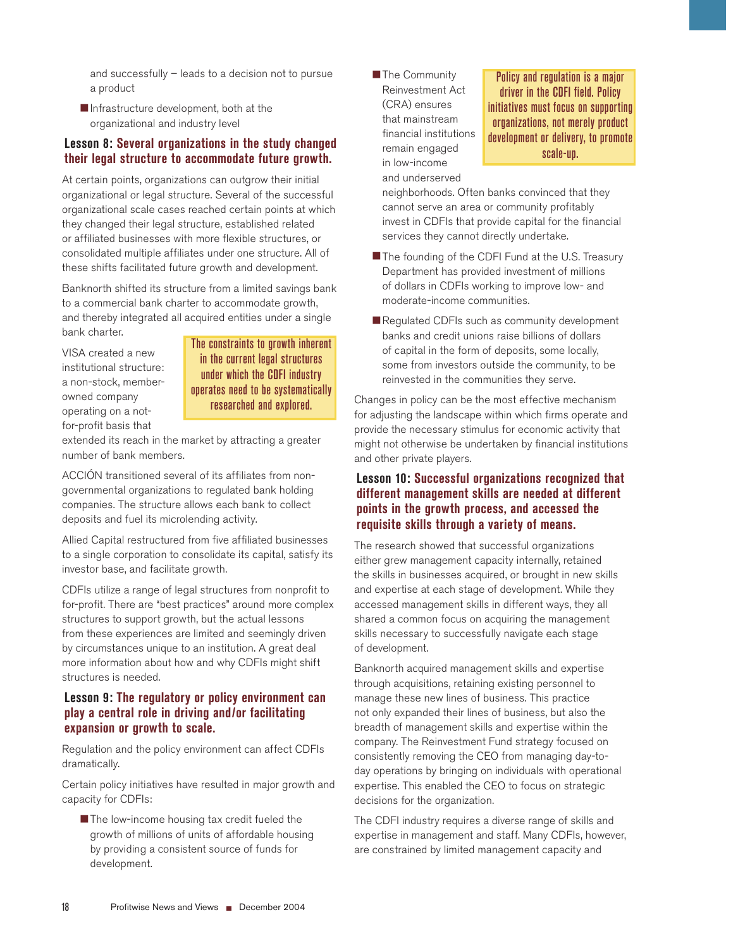and successfully – leads to a decision not to pursue a product

 Infrastructure development, both at the organizational and industry level

### **Lesson 8: Several organizations in the study changed their legal structure to accommodate future growth.**

At certain points, organizations can outgrow their initial organizational or legal structure. Several of the successful organizational scale cases reached certain points at which they changed their legal structure, established related or affiliated businesses with more flexible structures, or consolidated multiple affiliates under one structure. All of these shifts facilitated future growth and development.

Banknorth shifted its structure from a limited savings bank to a commercial bank charter to accommodate growth, and thereby integrated all acquired entities under a single bank charter.

VISA created a new institutional structure: a non-stock, memberowned company operating on a notfor-profit basis that

The constraints to growth inherent in the current legal structures under which the CDFI industry operates need to be systematically researched and explored.

extended its reach in the market by attracting a greater number of bank members.

ACCIÓN transitioned several of its affiliates from nongovernmental organizations to regulated bank holding companies. The structure allows each bank to collect deposits and fuel its microlending activity.

Allied Capital restructured from five affiliated businesses to a single corporation to consolidate its capital, satisfy its investor base, and facilitate growth.

CDFIs utilize a range of legal structures from nonprofit to for-profit. There are "best practices" around more complex structures to support growth, but the actual lessons from these experiences are limited and seemingly driven by circumstances unique to an institution. A great deal more information about how and why CDFIs might shift structures is needed.

### **Lesson 9: The regulatory or policy environment can play a central role in driving and/or facilitating expansion or growth to scale.**

Regulation and the policy environment can affect CDFIs dramatically.

Certain policy initiatives have resulted in major growth and capacity for CDFIs:

The low-income housing tax credit fueled the growth of millions of units of affordable housing by providing a consistent source of funds for development.

**The Community** Reinvestment Act (CRA) ensures that mainstream financial institutions remain engaged in low-income and underserved

Policy and regulation is a major driver in the CDFI field. Policy initiatives must focus on supporting organizations, not merely product development or delivery, to promote scale-up.

neighborhoods. Often banks convinced that they cannot serve an area or community profitably invest in CDFIs that provide capital for the financial services they cannot directly undertake.

- The founding of the CDFI Fund at the U.S. Treasury Department has provided investment of millions of dollars in CDFIs working to improve low- and moderate-income communities.
- Regulated CDFIs such as community development banks and credit unions raise billions of dollars of capital in the form of deposits, some locally, some from investors outside the community, to be reinvested in the communities they serve.

Changes in policy can be the most effective mechanism for adjusting the landscape within which firms operate and provide the necessary stimulus for economic activity that might not otherwise be undertaken by financial institutions and other private players.

## **Lesson 10: Successful organizations recognized that different management skills are needed at different points in the growth process, and accessed the requisite skills through a variety of means.**

The research showed that successful organizations either grew management capacity internally, retained the skills in businesses acquired, or brought in new skills and expertise at each stage of development. While they accessed management skills in different ways, they all shared a common focus on acquiring the management skills necessary to successfully navigate each stage of development.

Banknorth acquired management skills and expertise through acquisitions, retaining existing personnel to manage these new lines of business. This practice not only expanded their lines of business, but also the breadth of management skills and expertise within the company. The Reinvestment Fund strategy focused on consistently removing the CEO from managing day-today operations by bringing on individuals with operational expertise. This enabled the CEO to focus on strategic decisions for the organization.

The CDFI industry requires a diverse range of skills and expertise in management and staff. Many CDFIs, however, are constrained by limited management capacity and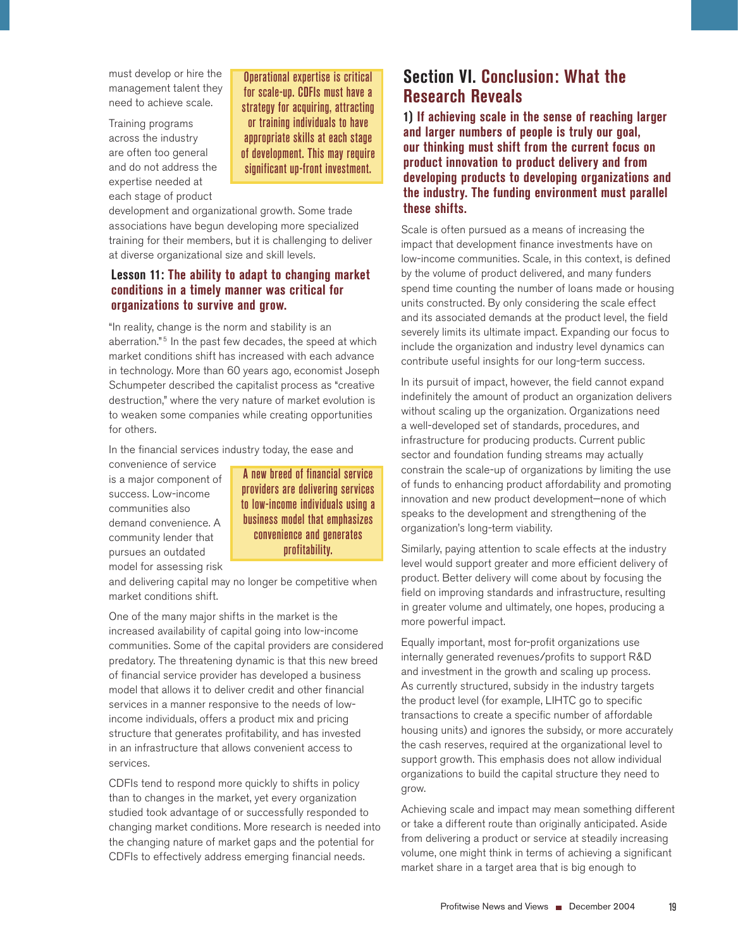must develop or hire the management talent they need to achieve scale.

Training programs across the industry are often too general and do not address the expertise needed at each stage of product

Operational expertise is critical for scale-up. CDFIs must have a strategy for acquiring, attracting or training individuals to have appropriate skills at each stage of development. This may require significant up-front investment.

development and organizational growth. Some trade associations have begun developing more specialized training for their members, but it is challenging to deliver at diverse organizational size and skill levels.

### **Lesson 11: The ability to adapt to changing market conditions in a timely manner was critical for organizations to survive and grow.**

"In reality, change is the norm and stability is an aberration."<sup>5</sup> In the past few decades, the speed at which market conditions shift has increased with each advance in technology. More than 60 years ago, economist Joseph Schumpeter described the capitalist process as "creative destruction," where the very nature of market evolution is to weaken some companies while creating opportunities for others.

In the financial services industry today, the ease and

convenience of service is a major component of success. Low-income communities also demand convenience. A community lender that pursues an outdated model for assessing risk

A new breed of financial service providers are delivering services to low-income individuals using a business model that emphasizes convenience and generates profitability.

and delivering capital may no longer be competitive when market conditions shift.

One of the many major shifts in the market is the increased availability of capital going into low-income communities. Some of the capital providers are considered predatory. The threatening dynamic is that this new breed of financial service provider has developed a business model that allows it to deliver credit and other financial services in a manner responsive to the needs of lowincome individuals, offers a product mix and pricing structure that generates profitability, and has invested in an infrastructure that allows convenient access to services.

CDFIs tend to respond more quickly to shifts in policy than to changes in the market, yet every organization studied took advantage of or successfully responded to changing market conditions. More research is needed into the changing nature of market gaps and the potential for CDFIs to effectively address emerging financial needs.

## **Section VI. Conclusion: What the Research Reveals**

**1) If achieving scale in the sense of reaching larger and larger numbers of people is truly our goal, our thinking must shift from the current focus on product innovation to product delivery and from developing products to developing organizations and the industry. The funding environment must parallel these shifts.** 

Scale is often pursued as a means of increasing the impact that development finance investments have on low-income communities. Scale, in this context, is defined by the volume of product delivered, and many funders spend time counting the number of loans made or housing units constructed. By only considering the scale effect and its associated demands at the product level, the field severely limits its ultimate impact. Expanding our focus to include the organization and industry level dynamics can contribute useful insights for our long-term success.

In its pursuit of impact, however, the field cannot expand indefinitely the amount of product an organization delivers without scaling up the organization. Organizations need a well-developed set of standards, procedures, and infrastructure for producing products. Current public sector and foundation funding streams may actually constrain the scale-up of organizations by limiting the use of funds to enhancing product affordability and promoting innovation and new product development—none of which speaks to the development and strengthening of the organization's long-term viability.

Similarly, paying attention to scale effects at the industry level would support greater and more efficient delivery of product. Better delivery will come about by focusing the field on improving standards and infrastructure, resulting in greater volume and ultimately, one hopes, producing a more powerful impact.

Equally important, most for-profit organizations use internally generated revenues/profits to support R&D and investment in the growth and scaling up process. As currently structured, subsidy in the industry targets the product level (for example, LIHTC go to specific transactions to create a specific number of affordable housing units) and ignores the subsidy, or more accurately the cash reserves, required at the organizational level to support growth. This emphasis does not allow individual organizations to build the capital structure they need to grow.

Achieving scale and impact may mean something different or take a different route than originally anticipated. Aside from delivering a product or service at steadily increasing volume, one might think in terms of achieving a significant market share in a target area that is big enough to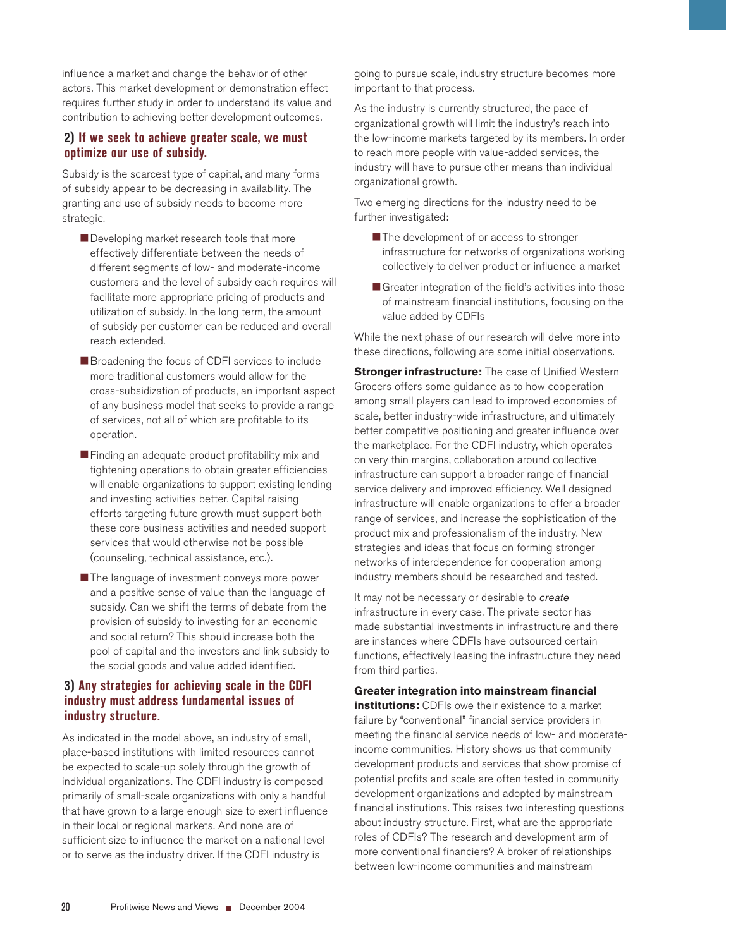influence a market and change the behavior of other actors. This market development or demonstration effect requires further study in order to understand its value and contribution to achieving better development outcomes.

### **2) If we seek to achieve greater scale, we must optimize our use of subsidy.**

Subsidy is the scarcest type of capital, and many forms of subsidy appear to be decreasing in availability. The granting and use of subsidy needs to become more strategic.

- Developing market research tools that more effectively differentiate between the needs of different segments of low- and moderate-income customers and the level of subsidy each requires will facilitate more appropriate pricing of products and utilization of subsidy. In the long term, the amount of subsidy per customer can be reduced and overall reach extended.
- Broadening the focus of CDFI services to include more traditional customers would allow for the cross-subsidization of products, an important aspect of any business model that seeks to provide a range of services, not all of which are profitable to its operation.
- Finding an adequate product profitability mix and tightening operations to obtain greater efficiencies will enable organizations to support existing lending and investing activities better. Capital raising efforts targeting future growth must support both these core business activities and needed support services that would otherwise not be possible (counseling, technical assistance, etc.).
- The language of investment conveys more power and a positive sense of value than the language of subsidy. Can we shift the terms of debate from the provision of subsidy to investing for an economic and social return? This should increase both the pool of capital and the investors and link subsidy to the social goods and value added identified.

## **3) Any strategies for achieving scale in the CDFI industry must address fundamental issues of industry structure.**

As indicated in the model above, an industry of small, place-based institutions with limited resources cannot be expected to scale-up solely through the growth of individual organizations. The CDFI industry is composed primarily of small-scale organizations with only a handful that have grown to a large enough size to exert influence in their local or regional markets. And none are of sufficient size to influence the market on a national level or to serve as the industry driver. If the CDFI industry is

going to pursue scale, industry structure becomes more important to that process.

As the industry is currently structured, the pace of organizational growth will limit the industry's reach into the low-income markets targeted by its members. In order to reach more people with value-added services, the industry will have to pursue other means than individual organizational growth.

Two emerging directions for the industry need to be further investigated:

- The development of or access to stronger infrastructure for networks of organizations working collectively to deliver product or influence a market
- Greater integration of the field's activities into those of mainstream financial institutions, focusing on the value added by CDFIs

While the next phase of our research will delve more into these directions, following are some initial observations.

**Stronger infrastructure:** The case of Unified Western Grocers offers some guidance as to how cooperation among small players can lead to improved economies of scale, better industry-wide infrastructure, and ultimately better competitive positioning and greater influence over the marketplace. For the CDFI industry, which operates on very thin margins, collaboration around collective infrastructure can support a broader range of financial service delivery and improved efficiency. Well designed infrastructure will enable organizations to offer a broader range of services, and increase the sophistication of the product mix and professionalism of the industry. New strategies and ideas that focus on forming stronger networks of interdependence for cooperation among industry members should be researched and tested.

It may not be necessary or desirable to create infrastructure in every case. The private sector has made substantial investments in infrastructure and there are instances where CDFIs have outsourced certain functions, effectively leasing the infrastructure they need from third parties.

#### **Greater integration into mainstream financial**

**institutions:** CDFIs owe their existence to a market failure by "conventional" financial service providers in meeting the financial service needs of low- and moderateincome communities. History shows us that community development products and services that show promise of potential profits and scale are often tested in community development organizations and adopted by mainstream financial institutions. This raises two interesting questions about industry structure. First, what are the appropriate roles of CDFIs? The research and development arm of more conventional financiers? A broker of relationships between low-income communities and mainstream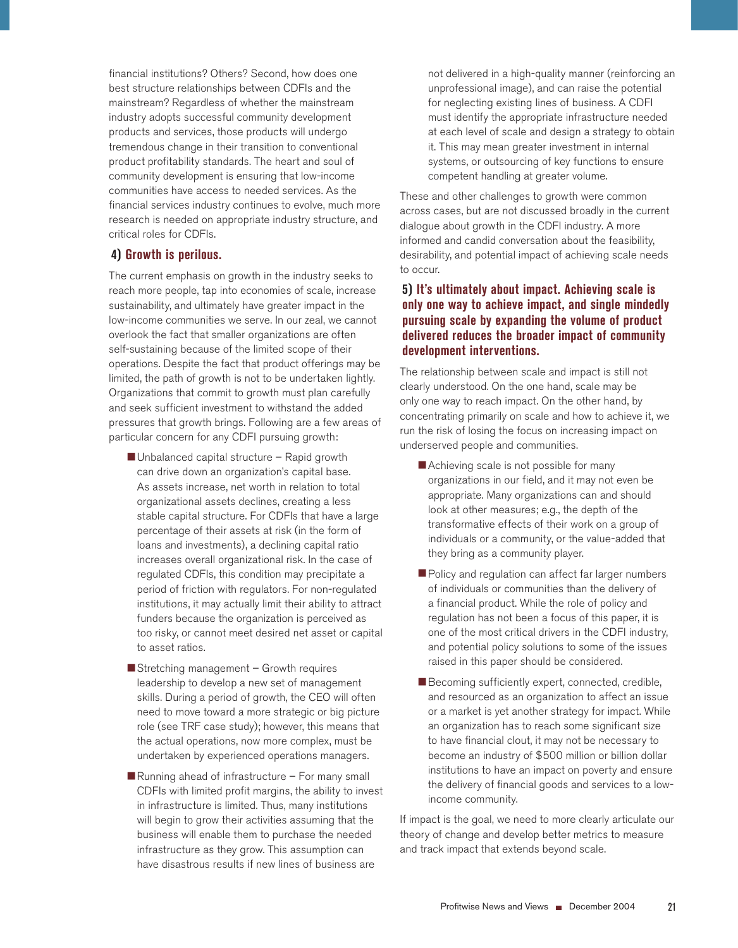financial institutions? Others? Second, how does one best structure relationships between CDFIs and the mainstream? Regardless of whether the mainstream industry adopts successful community development products and services, those products will undergo tremendous change in their transition to conventional product profitability standards. The heart and soul of community development is ensuring that low-income communities have access to needed services. As the financial services industry continues to evolve, much more research is needed on appropriate industry structure, and critical roles for CDFIs.

### **4) Growth is perilous.**

The current emphasis on growth in the industry seeks to reach more people, tap into economies of scale, increase sustainability, and ultimately have greater impact in the low-income communities we serve. In our zeal, we cannot overlook the fact that smaller organizations are often self-sustaining because of the limited scope of their operations. Despite the fact that product offerings may be limited, the path of growth is not to be undertaken lightly. Organizations that commit to growth must plan carefully and seek sufficient investment to withstand the added pressures that growth brings. Following are a few areas of particular concern for any CDFI pursuing growth:

- Unbalanced capital structure Rapid growth can drive down an organization's capital base. As assets increase, net worth in relation to total organizational assets declines, creating a less stable capital structure. For CDFIs that have a large percentage of their assets at risk (in the form of loans and investments), a declining capital ratio increases overall organizational risk. In the case of regulated CDFIs, this condition may precipitate a period of friction with regulators. For non-regulated institutions, it may actually limit their ability to attract funders because the organization is perceived as too risky, or cannot meet desired net asset or capital to asset ratios.
- Stretching management Growth requires leadership to develop a new set of management skills. During a period of growth, the CEO will often need to move toward a more strategic or big picture role (see TRF case study); however, this means that the actual operations, now more complex, must be undertaken by experienced operations managers.
- $\blacksquare$  Running ahead of infrastructure  $-$  For many small CDFIs with limited profit margins, the ability to invest in infrastructure is limited. Thus, many institutions will begin to grow their activities assuming that the business will enable them to purchase the needed infrastructure as they grow. This assumption can have disastrous results if new lines of business are

not delivered in a high-quality manner (reinforcing an unprofessional image), and can raise the potential for neglecting existing lines of business. A CDFI must identify the appropriate infrastructure needed at each level of scale and design a strategy to obtain it. This may mean greater investment in internal systems, or outsourcing of key functions to ensure competent handling at greater volume.

These and other challenges to growth were common across cases, but are not discussed broadly in the current dialogue about growth in the CDFI industry. A more informed and candid conversation about the feasibility, desirability, and potential impact of achieving scale needs to occur.

## **5) It's ultimately about impact. Achieving scale is only one way to achieve impact, and single mindedly pursuing scale by expanding the volume of product delivered reduces the broader impact of community development interventions.**

The relationship between scale and impact is still not clearly understood. On the one hand, scale may be only one way to reach impact. On the other hand, by concentrating primarily on scale and how to achieve it, we run the risk of losing the focus on increasing impact on underserved people and communities.

- Achieving scale is not possible for many organizations in our field, and it may not even be appropriate. Many organizations can and should look at other measures; e.g., the depth of the transformative effects of their work on a group of individuals or a community, or the value-added that they bring as a community player.
- Policy and regulation can affect far larger numbers of individuals or communities than the delivery of a financial product. While the role of policy and regulation has not been a focus of this paper, it is one of the most critical drivers in the CDFI industry, and potential policy solutions to some of the issues raised in this paper should be considered.
- Becoming sufficiently expert, connected, credible, and resourced as an organization to affect an issue or a market is yet another strategy for impact. While an organization has to reach some significant size to have financial clout, it may not be necessary to become an industry of \$500 million or billion dollar institutions to have an impact on poverty and ensure the delivery of financial goods and services to a lowincome community.

If impact is the goal, we need to more clearly articulate our theory of change and develop better metrics to measure and track impact that extends beyond scale.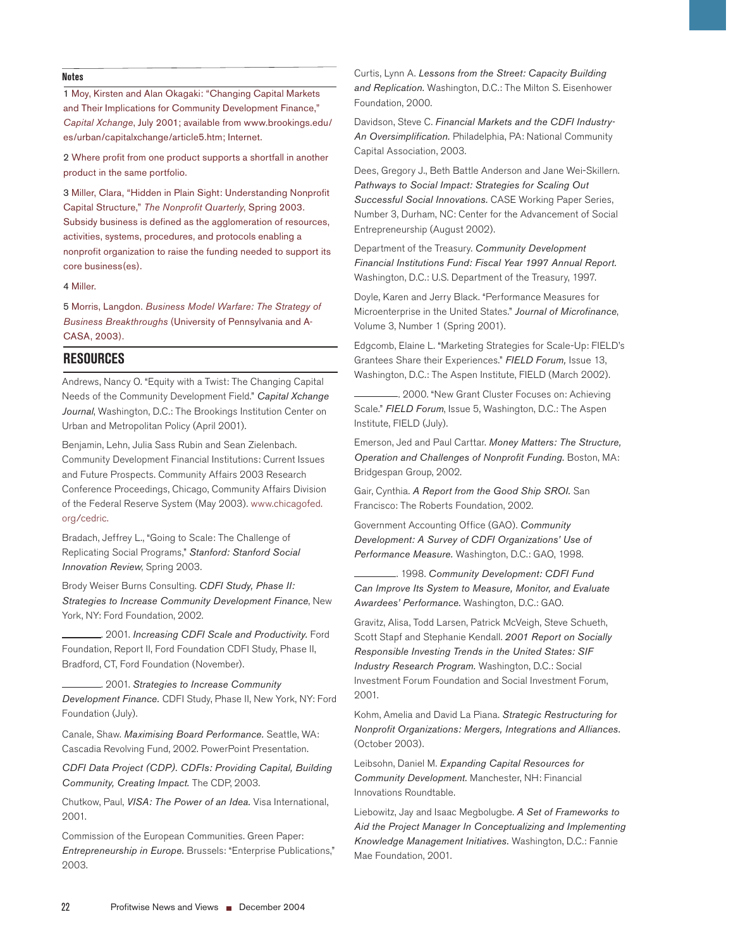#### **Notes**

1 Moy, Kirsten and Alan Okagaki: "Changing Capital Markets and Their Implications for Community Development Finance," Capital Xchange, July 2001; available from www.brookings.edu/ es/urban/capitalxchange/article5.htm; Internet.

2 Where profit from one product supports a shortfall in another product in the same portfolio.

3 Miller, Clara, "Hidden in Plain Sight: Understanding Nonprofit Capital Structure," The Nonprofit Quarterly, Spring 2003. Subsidy business is defined as the agglomeration of resources, activities, systems, procedures, and protocols enabling a nonprofit organization to raise the funding needed to support its core business(es).

4 Miller.

5 Morris, Langdon. Business Model Warfare: The Strategy of Business Breakthroughs (University of Pennsylvania and A-CASA, 2003).

#### **RESOURCES**

Andrews, Nancy O. "Equity with a Twist: The Changing Capital Needs of the Community Development Field." Capital Xchange Journal, Washington, D.C.: The Brookings Institution Center on Urban and Metropolitan Policy (April 2001).

Benjamin, Lehn, Julia Sass Rubin and Sean Zielenbach. Community Development Financial Institutions: Current Issues and Future Prospects. Community Affairs 2003 Research Conference Proceedings, Chicago, Community Affairs Division of the Federal Reserve System (May 2003). www.chicagofed. org/cedric.

Bradach, Jeffrey L., "Going to Scale: The Challenge of Replicating Social Programs," Stanford: Stanford Social Innovation Review, Spring 2003.

Brody Weiser Burns Consulting. CDFI Study, Phase II: Strategies to Increase Community Development Finance, New York, NY: Ford Foundation, 2002.

.. 2001. Increasing CDFI Scale and Productivity. Ford Foundation, Report II, Ford Foundation CDFI Study, Phase II, Bradford, CT, Ford Foundation (November).

. 2001. Strategies to Increase Community Development Finance. CDFI Study, Phase II, New York, NY: Ford Foundation (July).

Canale, Shaw. Maximising Board Performance. Seattle, WA: Cascadia Revolving Fund, 2002. PowerPoint Presentation.

CDFI Data Project (CDP). CDFIs: Providing Capital, Building Community, Creating Impact. The CDP, 2003.

Chutkow, Paul, VISA: The Power of an Idea. Visa International, 2001.

Commission of the European Communities. Green Paper: Entrepreneurship in Europe. Brussels: "Enterprise Publications," 2003.

Curtis, Lynn A. Lessons from the Street: Capacity Building and Replication. Washington, D.C.: The Milton S. Eisenhower Foundation, 2000.

Davidson, Steve C. Financial Markets and the CDFI Industry-An Oversimplification. Philadelphia, PA: National Community Capital Association, 2003.

Dees, Gregory J., Beth Battle Anderson and Jane Wei-Skillern. Pathways to Social Impact: Strategies for Scaling Out Successful Social Innovations. CASE Working Paper Series, Number 3, Durham, NC: Center for the Advancement of Social Entrepreneurship (August 2002).

Department of the Treasury. Community Development Financial Institutions Fund: Fiscal Year 1997 Annual Report. Washington, D.C.: U.S. Department of the Treasury, 1997.

Doyle, Karen and Jerry Black. "Performance Measures for Microenterprise in the United States." Journal of Microfinance, Volume 3, Number 1 (Spring 2001).

Edgcomb, Elaine L. "Marketing Strategies for Scale-Up: FIELD's Grantees Share their Experiences." FIELD Forum, Issue 13, Washington, D.C.: The Aspen Institute, FIELD (March 2002).

. 2000. "New Grant Cluster Focuses on: Achieving Scale." FIELD Forum, Issue 5, Washington, D.C.: The Aspen Institute, FIELD (July).

Emerson, Jed and Paul Carttar. Money Matters: The Structure, Operation and Challenges of Nonprofit Funding. Boston, MA: Bridgespan Group, 2002.

Gair, Cynthia. A Report from the Good Ship SROI. San Francisco: The Roberts Foundation, 2002.

Government Accounting Office (GAO). Community Development: A Survey of CDFI Organizations' Use of Performance Measure. Washington, D.C.: GAO, 1998.

. 1998. Community Development: CDFI Fund Can Improve Its System to Measure, Monitor, and Evaluate Awardees' Performance. Washington, D.C.: GAO.

Gravitz, Alisa, Todd Larsen, Patrick McVeigh, Steve Schueth, Scott Stapf and Stephanie Kendall. 2001 Report on Socially Responsible Investing Trends in the United States: SIF Industry Research Program. Washington, D.C.: Social Investment Forum Foundation and Social Investment Forum, 2001.

Kohm, Amelia and David La Piana. Strategic Restructuring for Nonprofit Organizations: Mergers, Integrations and Alliances. (October 2003).

Leibsohn, Daniel M. Expanding Capital Resources for Community Development. Manchester, NH: Financial Innovations Roundtable.

Liebowitz, Jay and Isaac Megbolugbe. A Set of Frameworks to Aid the Project Manager In Conceptualizing and Implementing Knowledge Management Initiatives. Washington, D.C.: Fannie Mae Foundation, 2001.